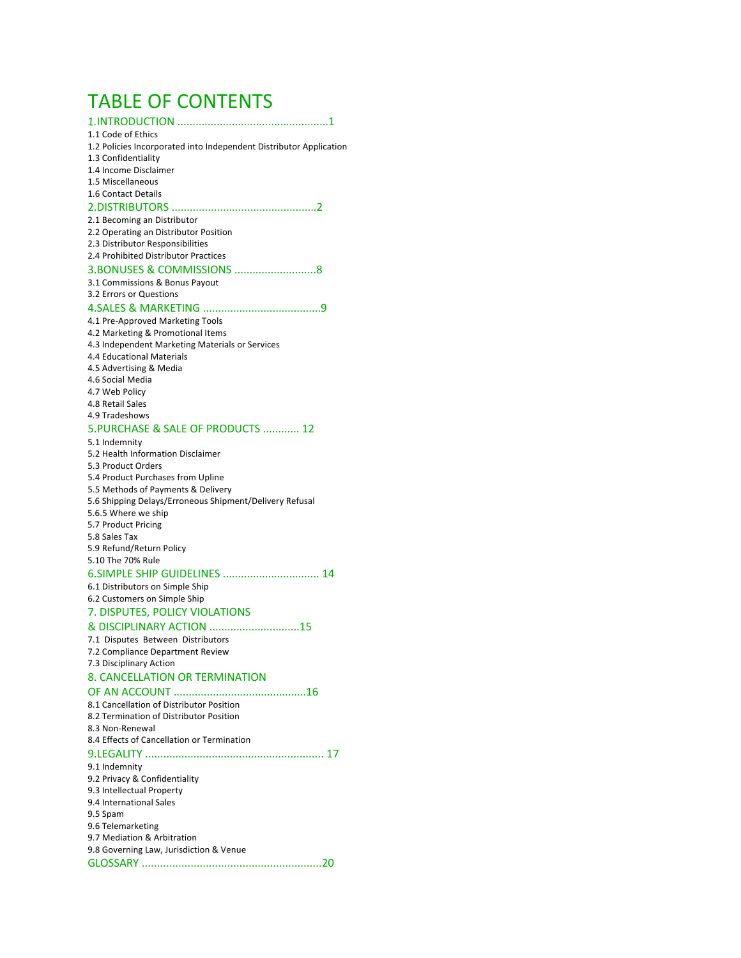# TABLE OF CONTENTS

1.INTRODUCTION ..................................................1

#### 1.1 Code of Ethics

- 1.2 Policies Incorporated into Independent Distributor Application
- 1.3 Confidentiality
- 1.4 Income Disclaimer
- 1.5 Miscellaneous
- 1.6 Contact Details

#### 2. DISTRIBUTORS ................................................2

2.1 Becoming an Distributor

- 2.2 Operating an Distributor Position
- 2.3 Distributor Responsibilities
- 2.4 Prohibited Distributor Practices

#### 3.BONUSES & COMMISSIONS ...........................8

- 3.1 Commissions & Bonus Payout
- 3.2 Errors or Questions

#### 4.SALES & MARKETING .......................................9

4.1 Pre-Approved Marketing Tools 4.2 Marketing & Promotional Items 4.3 Independent Marketing Materials or Services 4.4 Educational Materials 4.5 Advertising & Media 4.6 Social Media 4.7 Web Policy 4.8 Retail Sales 4.9 Tradeshows

#### 5.PURCHASE & SALE OF PRODUCTS ............ 12 5.1 Indemnity

| $3.1$ mornmary                                          |
|---------------------------------------------------------|
| 5.2 Health Information Disclaimer                       |
| 5.3 Product Orders                                      |
| 5.4 Product Purchases from Upline                       |
| 5.5 Methods of Payments & Delivery                      |
| 5.6 Shipping Delays/Erroneous Shipment/Delivery Refusal |
| 5.6.5 Where we ship                                     |
| 5.7 Product Pricing                                     |
| 5.8 Sales Tax                                           |
| 5.9 Refund/Return Policy                                |
| 5.10 The 70% Rule                                       |
| 6. SIMPLE SHIP GUIDELINES  14                           |
| 6.1 Distributors on Simple Ship                         |
| 6.2 Customers on Simple Ship                            |
| 7. DISPUTES, POLICY VIOLATIONS                          |
| & DISCIPLINARY ACTION 15                                |
| 7.1 Disputes Between Distributors                       |
| 7.2 Compliance Department Review                        |
| 7.3 Disciplinary Action                                 |
| 8. CANCELLATION OR TERMINATION                          |
|                                                         |
| 8.1 Cancellation of Distributor Position                |
| 8.2 Termination of Distributor Position                 |
| 8.3 Non-Renewal                                         |
| 8.4 Effects of Cancellation or Termination              |
|                                                         |
| 9.1 Indemnity                                           |
| 9.2 Privacy & Confidentiality                           |
| 9.3 Intellectual Property                               |
| 9.4 International Sales                                 |
| 9.5 Spam                                                |
| 9.6 Telemarketing                                       |
| 9.7 Mediation & Arbitration                             |
| 9.8 Governing Law, Jurisdiction & Venue                 |
|                                                         |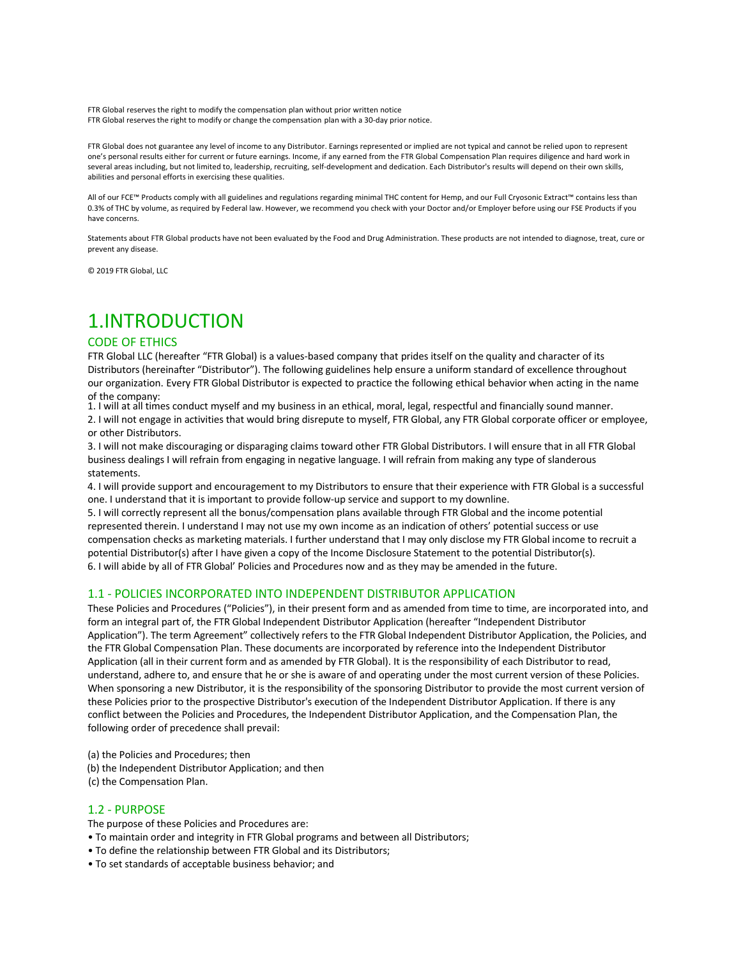FTR Global reserves the right to modify the compensation plan without prior written notice FTR Global reserves the right to modify or change the compensation plan with a 30-day prior notice.

FTR Global does not guarantee any level of income to any Distributor. Earnings represented or implied are not typical and cannot be relied upon to represent one's personal results either for current or future earnings. Income, if any earned from the FTR Global Compensation Plan requires diligence and hard work in several areas including, but not limited to, leadership, recruiting, self-development and dedication. Each Distributor's results will depend on their own skills, abilities and personal efforts in exercising these qualities.

All of our FCE™ Products comply with all guidelines and regulations regarding minimal THC content for Hemp, and our Full Cryosonic Extract™ contains less than 0.3% of THC by volume, as required by Federal law. However, we recommend you check with your Doctor and/or Employer before using our FSE Products if you have concerns.

Statements about FTR Global products have not been evaluated by the Food and Drug Administration. These products are not intended to diagnose, treat, cure or prevent any disease.

© 2019 FTR Global, LLC

# 1.INTRODUCTION

## CODE OF ETHICS

FTR Global LLC (hereafter "FTR Global) is a values-based company that prides itself on the quality and character of its Distributors (hereinafter "Distributor"). The following guidelines help ensure a uniform standard of excellence throughout our organization. Every FTR Global Distributor is expected to practice the following ethical behavior when acting in the name of the company:

1. I will at all times conduct myself and my business in an ethical, moral, legal, respectful and financially sound manner.

2. I will not engage in activities that would bring disrepute to myself, FTR Global, any FTR Global corporate officer or employee, or other Distributors.

3. I will not make discouraging or disparaging claims toward other FTR Global Distributors. I will ensure that in all FTR Global business dealings I will refrain from engaging in negative language. I will refrain from making any type of slanderous statements.

4. I will provide support and encouragement to my Distributors to ensure that their experience with FTR Global is a successful one. I understand that it is important to provide follow-up service and support to my downline.

5. I will correctly represent all the bonus/compensation plans available through FTR Global and the income potential represented therein. I understand I may not use my own income as an indication of others' potential success or use compensation checks as marketing materials. I further understand that I may only disclose my FTR Global income to recruit a potential Distributor(s) after I have given a copy of the Income Disclosure Statement to the potential Distributor(s). 6. I will abide by all of FTR Global' Policies and Procedures now and as they may be amended in the future.

## 1.1 - POLICIES INCORPORATED INTO INDEPENDENT DISTRIBUTOR APPLICATION

These Policies and Procedures ("Policies"), in their present form and as amended from time to time, are incorporated into, and form an integral part of, the FTR Global Independent Distributor Application (hereafter "Independent Distributor Application"). The term Agreement" collectively refers to the FTR Global Independent Distributor Application, the Policies, and the FTR Global Compensation Plan. These documents are incorporated by reference into the Independent Distributor Application (all in their current form and as amended by FTR Global). It is the responsibility of each Distributor to read, understand, adhere to, and ensure that he or she is aware of and operating under the most current version of these Policies. When sponsoring a new Distributor, it is the responsibility of the sponsoring Distributor to provide the most current version of these Policies prior to the prospective Distributor's execution of the Independent Distributor Application. If there is any conflict between the Policies and Procedures, the Independent Distributor Application, and the Compensation Plan, the following order of precedence shall prevail:

- (a) the Policies and Procedures; then
- (b) the Independent Distributor Application; and then
- (c) the Compensation Plan.

## 1.2 - PURPOSE

The purpose of these Policies and Procedures are:

- To maintain order and integrity in FTR Global programs and between all Distributors;
- To define the relationship between FTR Global and its Distributors;
- To set standards of acceptable business behavior; and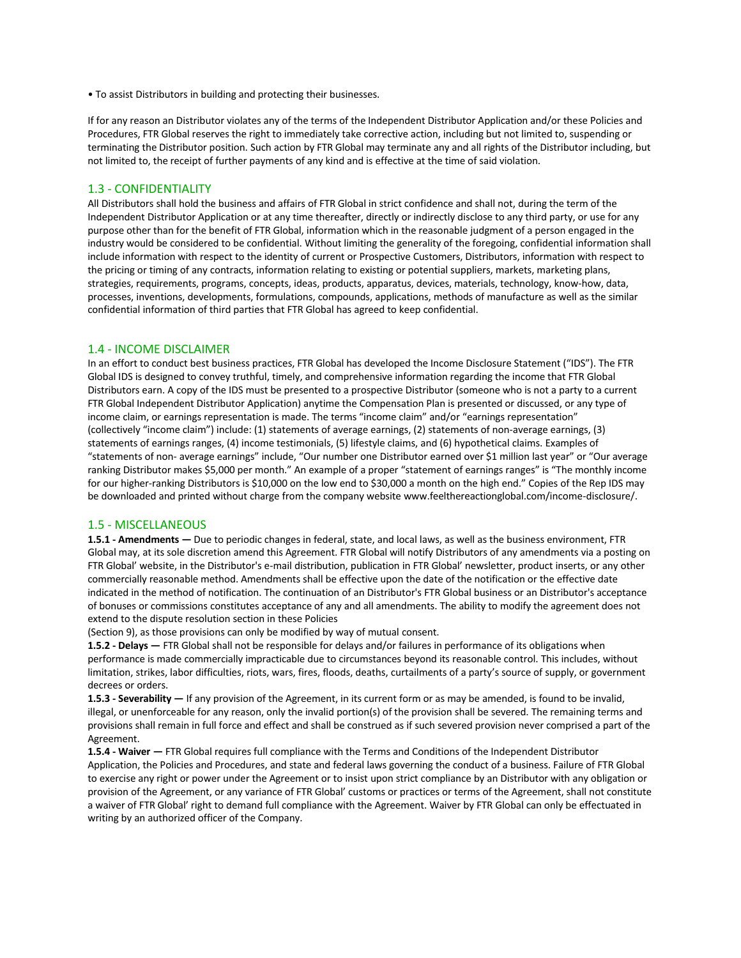• To assist Distributors in building and protecting their businesses.

If for any reason an Distributor violates any of the terms of the Independent Distributor Application and/or these Policies and Procedures, FTR Global reserves the right to immediately take corrective action, including but not limited to, suspending or terminating the Distributor position. Such action by FTR Global may terminate any and all rights of the Distributor including, but not limited to, the receipt of further payments of any kind and is effective at the time of said violation.

#### 1.3 - CONFIDENTIALITY

All Distributors shall hold the business and affairs of FTR Global in strict confidence and shall not, during the term of the Independent Distributor Application or at any time thereafter, directly or indirectly disclose to any third party, or use for any purpose other than for the benefit of FTR Global, information which in the reasonable judgment of a person engaged in the industry would be considered to be confidential. Without limiting the generality of the foregoing, confidential information shall include information with respect to the identity of current or Prospective Customers, Distributors, information with respect to the pricing or timing of any contracts, information relating to existing or potential suppliers, markets, marketing plans, strategies, requirements, programs, concepts, ideas, products, apparatus, devices, materials, technology, know-how, data, processes, inventions, developments, formulations, compounds, applications, methods of manufacture as well as the similar confidential information of third parties that FTR Global has agreed to keep confidential.

## 1.4 - INCOME DISCLAIMER

In an effort to conduct best business practices, FTR Global has developed the Income Disclosure Statement ("IDS"). The FTR Global IDS is designed to convey truthful, timely, and comprehensive information regarding the income that FTR Global Distributors earn. A copy of the IDS must be presented to a prospective Distributor (someone who is not a party to a current FTR Global Independent Distributor Application) anytime the Compensation Plan is presented or discussed, or any type of income claim, or earnings representation is made. The terms "income claim" and/or "earnings representation" (collectively "income claim") include: (1) statements of average earnings, (2) statements of non-average earnings, (3) statements of earnings ranges, (4) income testimonials, (5) lifestyle claims, and (6) hypothetical claims. Examples of "statements of non- average earnings" include, "Our number one Distributor earned over \$1 million last year" or "Our average ranking Distributor makes \$5,000 per month." An example of a proper "statement of earnings ranges" is "The monthly income for our higher-ranking Distributors is \$10,000 on the low end to \$30,000 a month on the high end." Copies of the Rep IDS may be downloaded and printed without charge from the company website www.feelthereactionglobal.com/income-disclosure/.

## 1.5 - MISCELLANEOUS

**1.5.1 - Amendments —** Due to periodic changes in federal, state, and local laws, as well as the business environment, FTR Global may, at its sole discretion amend this Agreement. FTR Global will notify Distributors of any amendments via a posting on FTR Global' website, in the Distributor's e-mail distribution, publication in FTR Global' newsletter, product inserts, or any other commercially reasonable method. Amendments shall be effective upon the date of the notification or the effective date indicated in the method of notification. The continuation of an Distributor's FTR Global business or an Distributor's acceptance of bonuses or commissions constitutes acceptance of any and all amendments. The ability to modify the agreement does not extend to the dispute resolution section in these Policies

(Section 9), as those provisions can only be modified by way of mutual consent.

**1.5.2 - Delays —** FTR Global shall not be responsible for delays and/or failures in performance of its obligations when performance is made commercially impracticable due to circumstances beyond its reasonable control. This includes, without limitation, strikes, labor difficulties, riots, wars, fires, floods, deaths, curtailments of a party's source of supply, or government decrees or orders.

**1.5.3 - Severability —** If any provision of the Agreement, in its current form or as may be amended, is found to be invalid, illegal, or unenforceable for any reason, only the invalid portion(s) of the provision shall be severed. The remaining terms and provisions shall remain in full force and effect and shall be construed as if such severed provision never comprised a part of the Agreement.

**1.5.4 - Waiver —** FTR Global requires full compliance with the Terms and Conditions of the Independent Distributor Application, the Policies and Procedures, and state and federal laws governing the conduct of a business. Failure of FTR Global to exercise any right or power under the Agreement or to insist upon strict compliance by an Distributor with any obligation or provision of the Agreement, or any variance of FTR Global' customs or practices or terms of the Agreement, shall not constitute a waiver of FTR Global' right to demand full compliance with the Agreement. Waiver by FTR Global can only be effectuated in writing by an authorized officer of the Company.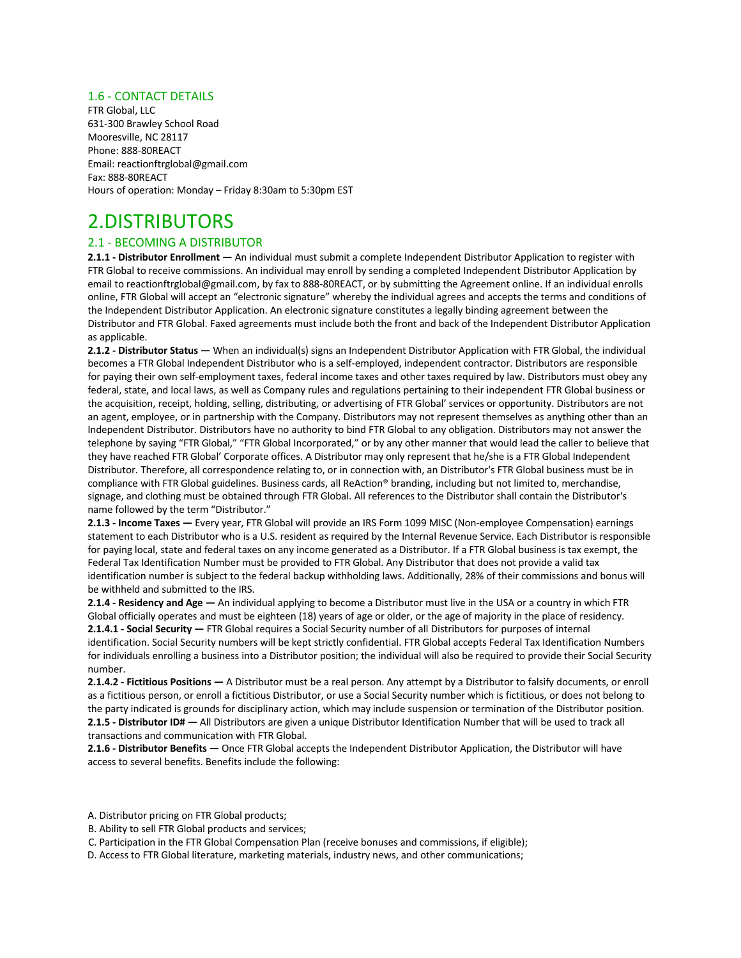## 1.6 - CONTACT DETAILS

FTR Global, LLC 631-300 Brawley School Road Mooresville, NC 28117 Phone: 888-80REACT Email: reactionftrglobal@gmail.com Fax: 888-80REACT Hours of operation: Monday – Friday 8:30am to 5:30pm EST

## 2.DISTRIBUTORS

## 2.1 - BECOMING A DISTRIBUTOR

**2.1.1 - Distributor Enrollment —** An individual must submit a complete Independent Distributor Application to register with FTR Global to receive commissions. An individual may enroll by sending a completed Independent Distributor Application by email to reactionftrglobal@gmail.com, by fax to 888-80REACT, or by submitting the Agreement online. If an individual enrolls online, FTR Global will accept an "electronic signature" whereby the individual agrees and accepts the terms and conditions of the Independent Distributor Application. An electronic signature constitutes a legally binding agreement between the Distributor and FTR Global. Faxed agreements must include both the front and back of the Independent Distributor Application as applicable.

**2.1.2 - Distributor Status —** When an individual(s) signs an Independent Distributor Application with FTR Global, the individual becomes a FTR Global Independent Distributor who is a self-employed, independent contractor. Distributors are responsible for paying their own self-employment taxes, federal income taxes and other taxes required by law. Distributors must obey any federal, state, and local laws, as well as Company rules and regulations pertaining to their independent FTR Global business or the acquisition, receipt, holding, selling, distributing, or advertising of FTR Global' services or opportunity. Distributors are not an agent, employee, or in partnership with the Company. Distributors may not represent themselves as anything other than an Independent Distributor. Distributors have no authority to bind FTR Global to any obligation. Distributors may not answer the telephone by saying "FTR Global," "FTR Global Incorporated," or by any other manner that would lead the caller to believe that they have reached FTR Global' Corporate offices. A Distributor may only represent that he/she is a FTR Global Independent Distributor. Therefore, all correspondence relating to, or in connection with, an Distributor's FTR Global business must be in compliance with FTR Global guidelines. Business cards, all ReAction® branding, including but not limited to, merchandise, signage, and clothing must be obtained through FTR Global. All references to the Distributor shall contain the Distributor's name followed by the term "Distributor."

**2.1.3 - Income Taxes —** Every year, FTR Global will provide an IRS Form 1099 MISC (Non-employee Compensation) earnings statement to each Distributor who is a U.S. resident as required by the Internal Revenue Service. Each Distributor is responsible for paying local, state and federal taxes on any income generated as a Distributor. If a FTR Global business is tax exempt, the Federal Tax Identification Number must be provided to FTR Global. Any Distributor that does not provide a valid tax identification number is subject to the federal backup withholding laws. Additionally, 28% of their commissions and bonus will be withheld and submitted to the IRS.

**2.1.4 - Residency and Age —** An individual applying to become a Distributor must live in the USA or a country in which FTR Global officially operates and must be eighteen (18) years of age or older, or the age of majority in the place of residency. **2.1.4.1 - Social Security —** FTR Global requires a Social Security number of all Distributors for purposes of internal identification. Social Security numbers will be kept strictly confidential. FTR Global accepts Federal Tax Identification Numbers for individuals enrolling a business into a Distributor position; the individual will also be required to provide their Social Security number.

**2.1.4.2 - Fictitious Positions —** A Distributor must be a real person. Any attempt by a Distributor to falsify documents, or enroll as a fictitious person, or enroll a fictitious Distributor, or use a Social Security number which is fictitious, or does not belong to the party indicated is grounds for disciplinary action, which may include suspension or termination of the Distributor position. **2.1.5 - Distributor ID# —** All Distributors are given a unique Distributor Identification Number that will be used to track all transactions and communication with FTR Global.

**2.1.6 - Distributor Benefits —** Once FTR Global accepts the Independent Distributor Application, the Distributor will have access to several benefits. Benefits include the following:

- A. Distributor pricing on FTR Global products;
- B. Ability to sell FTR Global products and services;
- C. Participation in the FTR Global Compensation Plan (receive bonuses and commissions, if eligible);
- D. Access to FTR Global literature, marketing materials, industry news, and other communications;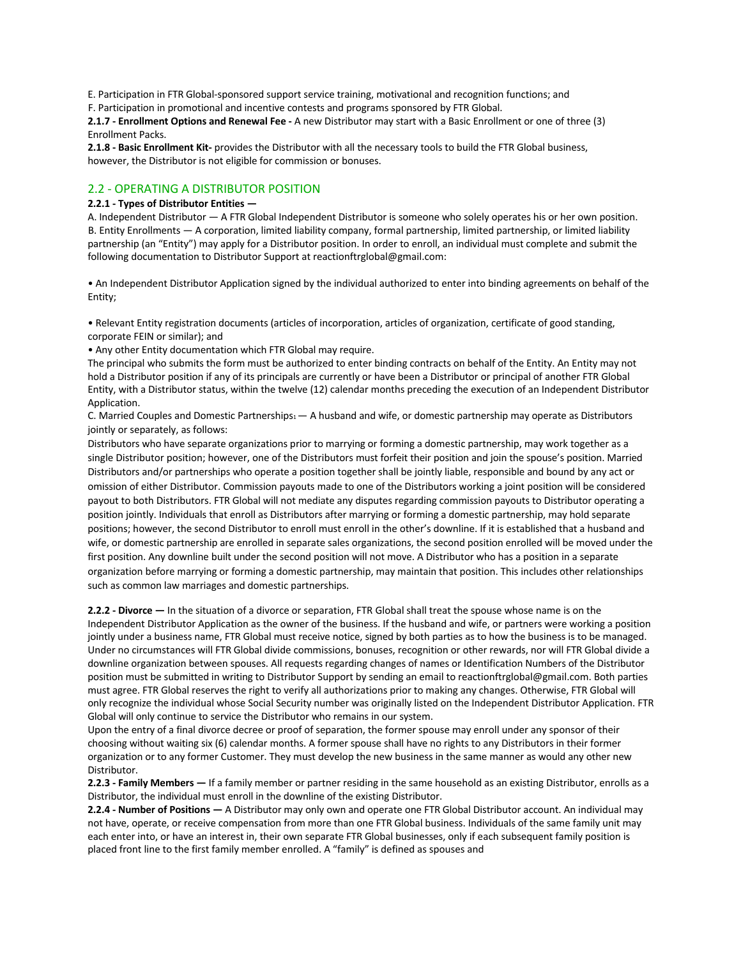E. Participation in FTR Global-sponsored support service training, motivational and recognition functions; and

F. Participation in promotional and incentive contests and programs sponsored by FTR Global.

**2.1.7 - Enrollment Options and Renewal Fee -** A new Distributor may start with a Basic Enrollment or one of three (3) Enrollment Packs.

**2.1.8 - Basic Enrollment Kit-** provides the Distributor with all the necessary tools to build the FTR Global business, however, the Distributor is not eligible for commission or bonuses.

## 2.2 - OPERATING A DISTRIBUTOR POSITION

#### **2.2.1 - Types of Distributor Entities —**

A. Independent Distributor — A FTR Global Independent Distributor is someone who solely operates his or her own position. B. Entity Enrollments — A corporation, limited liability company, formal partnership, limited partnership, or limited liability partnership (an "Entity") may apply for a Distributor position. In order to enroll, an individual must complete and submit the following documentation to Distributor Support at reactionftrglobal@gmail.com:

• An Independent Distributor Application signed by the individual authorized to enter into binding agreements on behalf of the Entity;

• Relevant Entity registration documents (articles of incorporation, articles of organization, certificate of good standing, corporate FEIN or similar); and

• Any other Entity documentation which FTR Global may require.

The principal who submits the form must be authorized to enter binding contracts on behalf of the Entity. An Entity may not hold a Distributor position if any of its principals are currently or have been a Distributor or principal of another FTR Global Entity, with a Distributor status, within the twelve (12) calendar months preceding the execution of an Independent Distributor Application.

C. Married Couples and Domestic Partnerships $1 - A$  husband and wife, or domestic partnership may operate as Distributors jointly or separately, as follows:

Distributors who have separate organizations prior to marrying or forming a domestic partnership, may work together as a single Distributor position; however, one of the Distributors must forfeit their position and join the spouse's position. Married Distributors and/or partnerships who operate a position together shall be jointly liable, responsible and bound by any act or omission of either Distributor. Commission payouts made to one of the Distributors working a joint position will be considered payout to both Distributors. FTR Global will not mediate any disputes regarding commission payouts to Distributor operating a position jointly. Individuals that enroll as Distributors after marrying or forming a domestic partnership, may hold separate positions; however, the second Distributor to enroll must enroll in the other's downline. If it is established that a husband and wife, or domestic partnership are enrolled in separate sales organizations, the second position enrolled will be moved under the first position. Any downline built under the second position will not move. A Distributor who has a position in a separate organization before marrying or forming a domestic partnership, may maintain that position. This includes other relationships such as common law marriages and domestic partnerships.

**2.2.2 - Divorce —** In the situation of a divorce or separation, FTR Global shall treat the spouse whose name is on the Independent Distributor Application as the owner of the business. If the husband and wife, or partners were working a position jointly under a business name, FTR Global must receive notice, signed by both parties as to how the business is to be managed. Under no circumstances will FTR Global divide commissions, bonuses, recognition or other rewards, nor will FTR Global divide a downline organization between spouses. All requests regarding changes of names or Identification Numbers of the Distributor position must be submitted in writing to Distributor Support by sending an email to reactionftrglobal@gmail.com. Both parties must agree. FTR Global reserves the right to verify all authorizations prior to making any changes. Otherwise, FTR Global will only recognize the individual whose Social Security number was originally listed on the Independent Distributor Application. FTR Global will only continue to service the Distributor who remains in our system.

Upon the entry of a final divorce decree or proof of separation, the former spouse may enroll under any sponsor of their choosing without waiting six (6) calendar months. A former spouse shall have no rights to any Distributors in their former organization or to any former Customer. They must develop the new business in the same manner as would any other new Distributor.

**2.2.3 - Family Members —** If a family member or partner residing in the same household as an existing Distributor, enrolls as a Distributor, the individual must enroll in the downline of the existing Distributor.

**2.2.4 - Number of Positions —** A Distributor may only own and operate one FTR Global Distributor account. An individual may not have, operate, or receive compensation from more than one FTR Global business. Individuals of the same family unit may each enter into, or have an interest in, their own separate FTR Global businesses, only if each subsequent family position is placed front line to the first family member enrolled. A "family" is defined as spouses and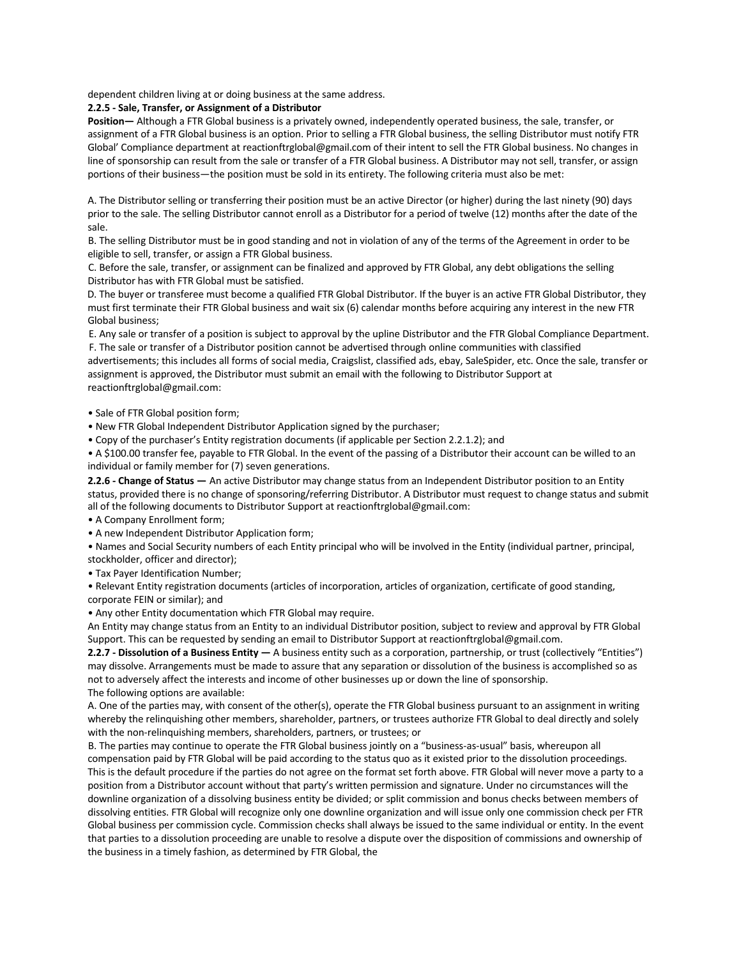dependent children living at or doing business at the same address.

#### **2.2.5 - Sale, Transfer, or Assignment of a Distributor**

**Position—** Although a FTR Global business is a privately owned, independently operated business, the sale, transfer, or assignment of a FTR Global business is an option. Prior to selling a FTR Global business, the selling Distributor must notify FTR Global' Compliance department at reactionftrglobal@gmail.com of their intent to sell the FTR Global business. No changes in line of sponsorship can result from the sale or transfer of a FTR Global business. A Distributor may not sell, transfer, or assign portions of their business—the position must be sold in its entirety. The following criteria must also be met:

A. The Distributor selling or transferring their position must be an active Director (or higher) during the last ninety (90) days prior to the sale. The selling Distributor cannot enroll as a Distributor for a period of twelve (12) months after the date of the sale.

B. The selling Distributor must be in good standing and not in violation of any of the terms of the Agreement in order to be eligible to sell, transfer, or assign a FTR Global business.

C. Before the sale, transfer, or assignment can be finalized and approved by FTR Global, any debt obligations the selling Distributor has with FTR Global must be satisfied.

D. The buyer or transferee must become a qualified FTR Global Distributor. If the buyer is an active FTR Global Distributor, they must first terminate their FTR Global business and wait six (6) calendar months before acquiring any interest in the new FTR Global business;

E. Any sale or transfer of a position is subject to approval by the upline Distributor and the FTR Global Compliance Department. F. The sale or transfer of a Distributor position cannot be advertised through online communities with classified

advertisements; this includes all forms of social media, Craigslist, classified ads, ebay, SaleSpider, etc. Once the sale, transfer or assignment is approved, the Distributor must submit an email with the following to Distributor Support at reactionftrglobal@gmail.com:

• Sale of FTR Global position form;

• New FTR Global Independent Distributor Application signed by the purchaser;

• Copy of the purchaser's Entity registration documents (if applicable per Section 2.2.1.2); and

• A \$100.00 transfer fee, payable to FTR Global. In the event of the passing of a Distributor their account can be willed to an individual or family member for (7) seven generations.

**2.2.6 - Change of Status —** An active Distributor may change status from an Independent Distributor position to an Entity status, provided there is no change of sponsoring/referring Distributor. A Distributor must request to change status and submit all of the following documents to Distributor Support at reactionftrglobal@gmail.com:

• A Company Enrollment form;

• A new Independent Distributor Application form;

• Names and Social Security numbers of each Entity principal who will be involved in the Entity (individual partner, principal, stockholder, officer and director);

• Tax Payer Identification Number;

• Relevant Entity registration documents (articles of incorporation, articles of organization, certificate of good standing, corporate FEIN or similar); and

• Any other Entity documentation which FTR Global may require.

An Entity may change status from an Entity to an individual Distributor position, subject to review and approval by FTR Global Support. This can be requested by sending an email to Distributor Support at reactionftrglobal@gmail.com.

**2.2.7 - Dissolution of a Business Entity —** A business entity such as a corporation, partnership, or trust (collectively "Entities") may dissolve. Arrangements must be made to assure that any separation or dissolution of the business is accomplished so as not to adversely affect the interests and income of other businesses up or down the line of sponsorship. The following options are available:

A. One of the parties may, with consent of the other(s), operate the FTR Global business pursuant to an assignment in writing whereby the relinquishing other members, shareholder, partners, or trustees authorize FTR Global to deal directly and solely with the non-relinquishing members, shareholders, partners, or trustees; or

B. The parties may continue to operate the FTR Global business jointly on a "business-as-usual" basis, whereupon all compensation paid by FTR Global will be paid according to the status quo as it existed prior to the dissolution proceedings. This is the default procedure if the parties do not agree on the format set forth above. FTR Global will never move a party to a position from a Distributor account without that party's written permission and signature. Under no circumstances will the downline organization of a dissolving business entity be divided; or split commission and bonus checks between members of dissolving entities. FTR Global will recognize only one downline organization and will issue only one commission check per FTR Global business per commission cycle. Commission checks shall always be issued to the same individual or entity. In the event that parties to a dissolution proceeding are unable to resolve a dispute over the disposition of commissions and ownership of the business in a timely fashion, as determined by FTR Global, the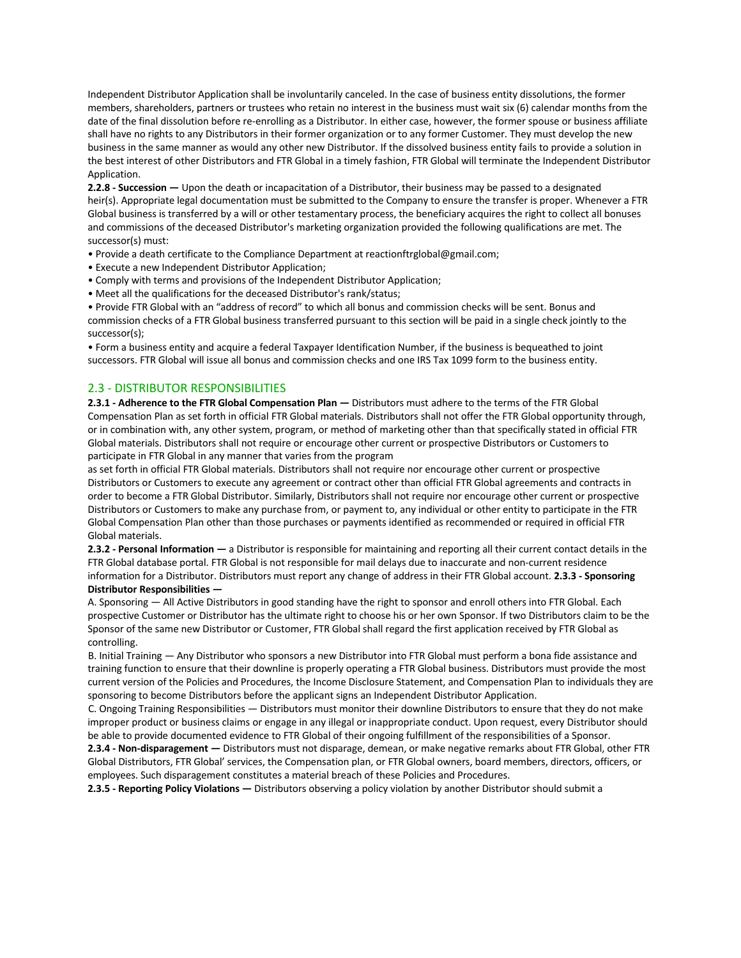Independent Distributor Application shall be involuntarily canceled. In the case of business entity dissolutions, the former members, shareholders, partners or trustees who retain no interest in the business must wait six (6) calendar months from the date of the final dissolution before re-enrolling as a Distributor. In either case, however, the former spouse or business affiliate shall have no rights to any Distributors in their former organization or to any former Customer. They must develop the new business in the same manner as would any other new Distributor. If the dissolved business entity fails to provide a solution in the best interest of other Distributors and FTR Global in a timely fashion, FTR Global will terminate the Independent Distributor Application.

**2.2.8 - Succession —** Upon the death or incapacitation of a Distributor, their business may be passed to a designated heir(s). Appropriate legal documentation must be submitted to the Company to ensure the transfer is proper. Whenever a FTR Global business is transferred by a will or other testamentary process, the beneficiary acquires the right to collect all bonuses and commissions of the deceased Distributor's marketing organization provided the following qualifications are met. The successor(s) must:

- Provide a death certificate to the Compliance Department at reactionftrglobal@gmail.com;
- Execute a new Independent Distributor Application;
- Comply with terms and provisions of the Independent Distributor Application;
- Meet all the qualifications for the deceased Distributor's rank/status;

• Provide FTR Global with an "address of record" to which all bonus and commission checks will be sent. Bonus and commission checks of a FTR Global business transferred pursuant to this section will be paid in a single check jointly to the successor(s);

• Form a business entity and acquire a federal Taxpayer Identification Number, if the business is bequeathed to joint successors. FTR Global will issue all bonus and commission checks and one IRS Tax 1099 form to the business entity.

## 2.3 - DISTRIBUTOR RESPONSIBILITIES

**2.3.1 - Adherence to the FTR Global Compensation Plan —** Distributors must adhere to the terms of the FTR Global Compensation Plan as set forth in official FTR Global materials. Distributors shall not offer the FTR Global opportunity through, or in combination with, any other system, program, or method of marketing other than that specifically stated in official FTR Global materials. Distributors shall not require or encourage other current or prospective Distributors or Customers to participate in FTR Global in any manner that varies from the program

as set forth in official FTR Global materials. Distributors shall not require nor encourage other current or prospective Distributors or Customers to execute any agreement or contract other than official FTR Global agreements and contracts in order to become a FTR Global Distributor. Similarly, Distributors shall not require nor encourage other current or prospective Distributors or Customers to make any purchase from, or payment to, any individual or other entity to participate in the FTR Global Compensation Plan other than those purchases or payments identified as recommended or required in official FTR Global materials.

**2.3.2 - Personal Information —** a Distributor is responsible for maintaining and reporting all their current contact details in the FTR Global database portal. FTR Global is not responsible for mail delays due to inaccurate and non-current residence information for a Distributor. Distributors must report any change of address in their FTR Global account. **2.3.3 - Sponsoring Distributor Responsibilities —** 

A. Sponsoring — All Active Distributors in good standing have the right to sponsor and enroll others into FTR Global. Each prospective Customer or Distributor has the ultimate right to choose his or her own Sponsor. If two Distributors claim to be the Sponsor of the same new Distributor or Customer, FTR Global shall regard the first application received by FTR Global as controlling.

B. Initial Training — Any Distributor who sponsors a new Distributor into FTR Global must perform a bona fide assistance and training function to ensure that their downline is properly operating a FTR Global business. Distributors must provide the most current version of the Policies and Procedures, the Income Disclosure Statement, and Compensation Plan to individuals they are sponsoring to become Distributors before the applicant signs an Independent Distributor Application.

C. Ongoing Training Responsibilities — Distributors must monitor their downline Distributors to ensure that they do not make improper product or business claims or engage in any illegal or inappropriate conduct. Upon request, every Distributor should be able to provide documented evidence to FTR Global of their ongoing fulfillment of the responsibilities of a Sponsor.

**2.3.4 - Non-disparagement —** Distributors must not disparage, demean, or make negative remarks about FTR Global, other FTR Global Distributors, FTR Global' services, the Compensation plan, or FTR Global owners, board members, directors, officers, or employees. Such disparagement constitutes a material breach of these Policies and Procedures.

**2.3.5 - Reporting Policy Violations —** Distributors observing a policy violation by another Distributor should submit a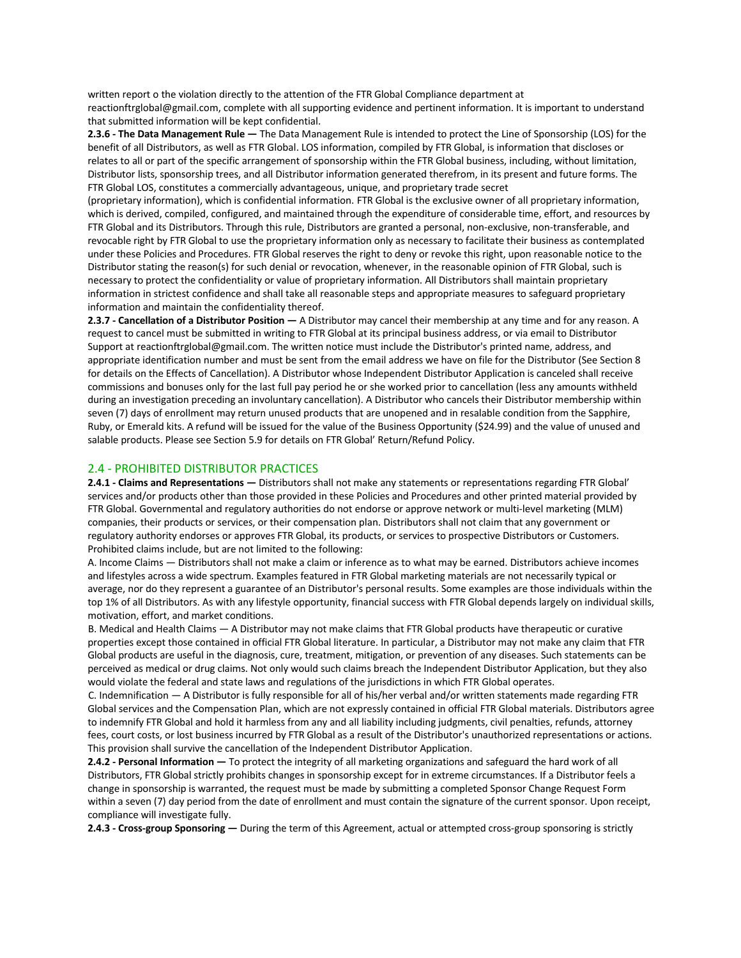written report o the violation directly to the attention of the FTR Global Compliance department at reactionftrglobal@gmail.com, complete with all supporting evidence and pertinent information. It is important to understand that submitted information will be kept confidential.

**2.3.6 - The Data Management Rule —** The Data Management Rule is intended to protect the Line of Sponsorship (LOS) for the benefit of all Distributors, as well as FTR Global. LOS information, compiled by FTR Global, is information that discloses or relates to all or part of the specific arrangement of sponsorship within the FTR Global business, including, without limitation, Distributor lists, sponsorship trees, and all Distributor information generated therefrom, in its present and future forms. The FTR Global LOS, constitutes a commercially advantageous, unique, and proprietary trade secret

(proprietary information), which is confidential information. FTR Global is the exclusive owner of all proprietary information, which is derived, compiled, configured, and maintained through the expenditure of considerable time, effort, and resources by FTR Global and its Distributors. Through this rule, Distributors are granted a personal, non-exclusive, non-transferable, and revocable right by FTR Global to use the proprietary information only as necessary to facilitate their business as contemplated under these Policies and Procedures. FTR Global reserves the right to deny or revoke this right, upon reasonable notice to the Distributor stating the reason(s) for such denial or revocation, whenever, in the reasonable opinion of FTR Global, such is necessary to protect the confidentiality or value of proprietary information. All Distributors shall maintain proprietary information in strictest confidence and shall take all reasonable steps and appropriate measures to safeguard proprietary information and maintain the confidentiality thereof.

**2.3.7 - Cancellation of a Distributor Position —** A Distributor may cancel their membership at any time and for any reason. A request to cancel must be submitted in writing to FTR Global at its principal business address, or via email to Distributor Support at reactionftrglobal@gmail.com. The written notice must include the Distributor's printed name, address, and appropriate identification number and must be sent from the email address we have on file for the Distributor (See Section 8 for details on the Effects of Cancellation). A Distributor whose Independent Distributor Application is canceled shall receive commissions and bonuses only for the last full pay period he or she worked prior to cancellation (less any amounts withheld during an investigation preceding an involuntary cancellation). A Distributor who cancels their Distributor membership within seven (7) days of enrollment may return unused products that are unopened and in resalable condition from the Sapphire, Ruby, or Emerald kits. A refund will be issued for the value of the Business Opportunity (\$24.99) and the value of unused and salable products. Please see Section 5.9 for details on FTR Global' Return/Refund Policy.

#### 2.4 - PROHIBITED DISTRIBUTOR PRACTICES

**2.4.1 - Claims and Representations —** Distributors shall not make any statements or representations regarding FTR Global' services and/or products other than those provided in these Policies and Procedures and other printed material provided by FTR Global. Governmental and regulatory authorities do not endorse or approve network or multi-level marketing (MLM) companies, their products or services, or their compensation plan. Distributors shall not claim that any government or regulatory authority endorses or approves FTR Global, its products, or services to prospective Distributors or Customers. Prohibited claims include, but are not limited to the following:

A. Income Claims — Distributors shall not make a claim or inference as to what may be earned. Distributors achieve incomes and lifestyles across a wide spectrum. Examples featured in FTR Global marketing materials are not necessarily typical or average, nor do they represent a guarantee of an Distributor's personal results. Some examples are those individuals within the top 1% of all Distributors. As with any lifestyle opportunity, financial success with FTR Global depends largely on individual skills, motivation, effort, and market conditions.

B. Medical and Health Claims — A Distributor may not make claims that FTR Global products have therapeutic or curative properties except those contained in official FTR Global literature. In particular, a Distributor may not make any claim that FTR Global products are useful in the diagnosis, cure, treatment, mitigation, or prevention of any diseases. Such statements can be perceived as medical or drug claims. Not only would such claims breach the Independent Distributor Application, but they also would violate the federal and state laws and regulations of the jurisdictions in which FTR Global operates.

C. Indemnification — A Distributor is fully responsible for all of his/her verbal and/or written statements made regarding FTR Global services and the Compensation Plan, which are not expressly contained in official FTR Global materials. Distributors agree to indemnify FTR Global and hold it harmless from any and all liability including judgments, civil penalties, refunds, attorney fees, court costs, or lost business incurred by FTR Global as a result of the Distributor's unauthorized representations or actions. This provision shall survive the cancellation of the Independent Distributor Application.

**2.4.2 - Personal Information —** To protect the integrity of all marketing organizations and safeguard the hard work of all Distributors, FTR Global strictly prohibits changes in sponsorship except for in extreme circumstances. If a Distributor feels a change in sponsorship is warranted, the request must be made by submitting a completed Sponsor Change Request Form within a seven (7) day period from the date of enrollment and must contain the signature of the current sponsor. Upon receipt, compliance will investigate fully.

**2.4.3 - Cross-group Sponsoring —** During the term of this Agreement, actual or attempted cross-group sponsoring is strictly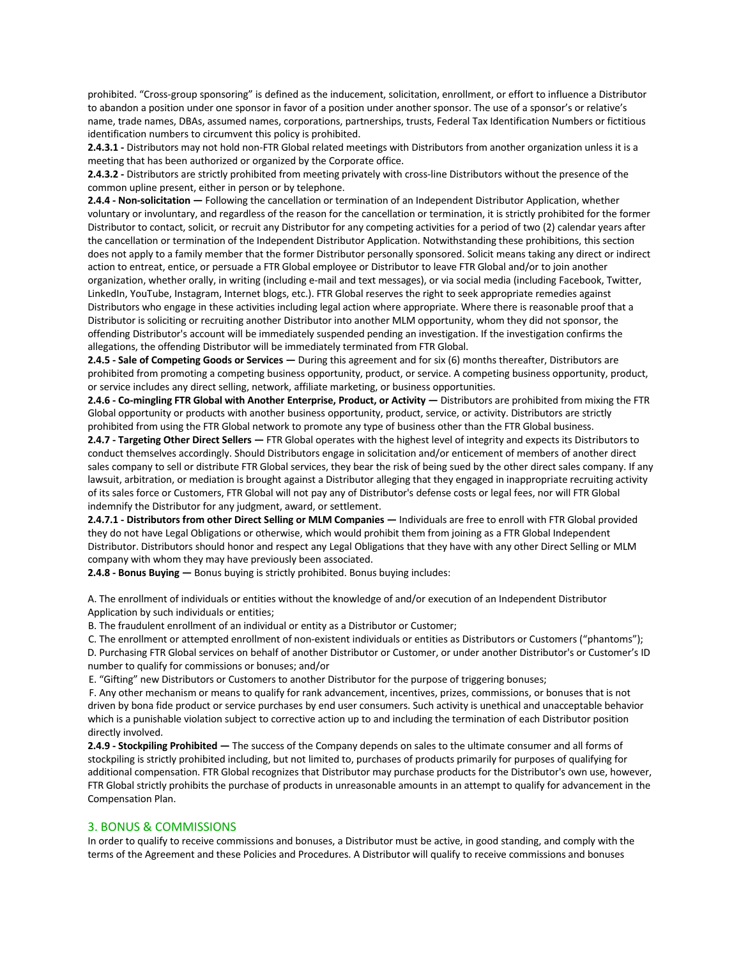prohibited. "Cross-group sponsoring" is defined as the inducement, solicitation, enrollment, or effort to influence a Distributor to abandon a position under one sponsor in favor of a position under another sponsor. The use of a sponsor's or relative's name, trade names, DBAs, assumed names, corporations, partnerships, trusts, Federal Tax Identification Numbers or fictitious identification numbers to circumvent this policy is prohibited.

**2.4.3.1 -** Distributors may not hold non-FTR Global related meetings with Distributors from another organization unless it is a meeting that has been authorized or organized by the Corporate office.

**2.4.3.2 -** Distributors are strictly prohibited from meeting privately with cross-line Distributors without the presence of the common upline present, either in person or by telephone.

**2.4.4 - Non-solicitation —** Following the cancellation or termination of an Independent Distributor Application, whether voluntary or involuntary, and regardless of the reason for the cancellation or termination, it is strictly prohibited for the former Distributor to contact, solicit, or recruit any Distributor for any competing activities for a period of two (2) calendar years after the cancellation or termination of the Independent Distributor Application. Notwithstanding these prohibitions, this section does not apply to a family member that the former Distributor personally sponsored. Solicit means taking any direct or indirect action to entreat, entice, or persuade a FTR Global employee or Distributor to leave FTR Global and/or to join another organization, whether orally, in writing (including e-mail and text messages), or via social media (including Facebook, Twitter, LinkedIn, YouTube, Instagram, Internet blogs, etc.). FTR Global reserves the right to seek appropriate remedies against Distributors who engage in these activities including legal action where appropriate. Where there is reasonable proof that a Distributor is soliciting or recruiting another Distributor into another MLM opportunity, whom they did not sponsor, the offending Distributor's account will be immediately suspended pending an investigation. If the investigation confirms the allegations, the offending Distributor will be immediately terminated from FTR Global.

**2.4.5 - Sale of Competing Goods or Services —** During this agreement and for six (6) months thereafter, Distributors are prohibited from promoting a competing business opportunity, product, or service. A competing business opportunity, product, or service includes any direct selling, network, affiliate marketing, or business opportunities.

**2.4.6 - Co-mingling FTR Global with Another Enterprise, Product, or Activity —** Distributors are prohibited from mixing the FTR Global opportunity or products with another business opportunity, product, service, or activity. Distributors are strictly prohibited from using the FTR Global network to promote any type of business other than the FTR Global business.

**2.4.7 - Targeting Other Direct Sellers —** FTR Global operates with the highest level of integrity and expects its Distributors to conduct themselves accordingly. Should Distributors engage in solicitation and/or enticement of members of another direct sales company to sell or distribute FTR Global services, they bear the risk of being sued by the other direct sales company. If any lawsuit, arbitration, or mediation is brought against a Distributor alleging that they engaged in inappropriate recruiting activity of its sales force or Customers, FTR Global will not pay any of Distributor's defense costs or legal fees, nor will FTR Global indemnify the Distributor for any judgment, award, or settlement.

**2.4.7.1 - Distributors from other Direct Selling or MLM Companies —** Individuals are free to enroll with FTR Global provided they do not have Legal Obligations or otherwise, which would prohibit them from joining as a FTR Global Independent Distributor. Distributors should honor and respect any Legal Obligations that they have with any other Direct Selling or MLM company with whom they may have previously been associated.

**2.4.8 - Bonus Buying —** Bonus buying is strictly prohibited. Bonus buying includes:

A. The enrollment of individuals or entities without the knowledge of and/or execution of an Independent Distributor Application by such individuals or entities;

B. The fraudulent enrollment of an individual or entity as a Distributor or Customer;

C. The enrollment or attempted enrollment of non-existent individuals or entities as Distributors or Customers ("phantoms"); D. Purchasing FTR Global services on behalf of another Distributor or Customer, or under another Distributor's or Customer's ID number to qualify for commissions or bonuses; and/or

E. "Gifting" new Distributors or Customers to another Distributor for the purpose of triggering bonuses;

F. Any other mechanism or means to qualify for rank advancement, incentives, prizes, commissions, or bonuses that is not driven by bona fide product or service purchases by end user consumers. Such activity is unethical and unacceptable behavior which is a punishable violation subject to corrective action up to and including the termination of each Distributor position directly involved.

**2.4.9 - Stockpiling Prohibited —** The success of the Company depends on sales to the ultimate consumer and all forms of stockpiling is strictly prohibited including, but not limited to, purchases of products primarily for purposes of qualifying for additional compensation. FTR Global recognizes that Distributor may purchase products for the Distributor's own use, however, FTR Global strictly prohibits the purchase of products in unreasonable amounts in an attempt to qualify for advancement in the Compensation Plan.

#### 3. BONUS & COMMISSIONS

In order to qualify to receive commissions and bonuses, a Distributor must be active, in good standing, and comply with the terms of the Agreement and these Policies and Procedures. A Distributor will qualify to receive commissions and bonuses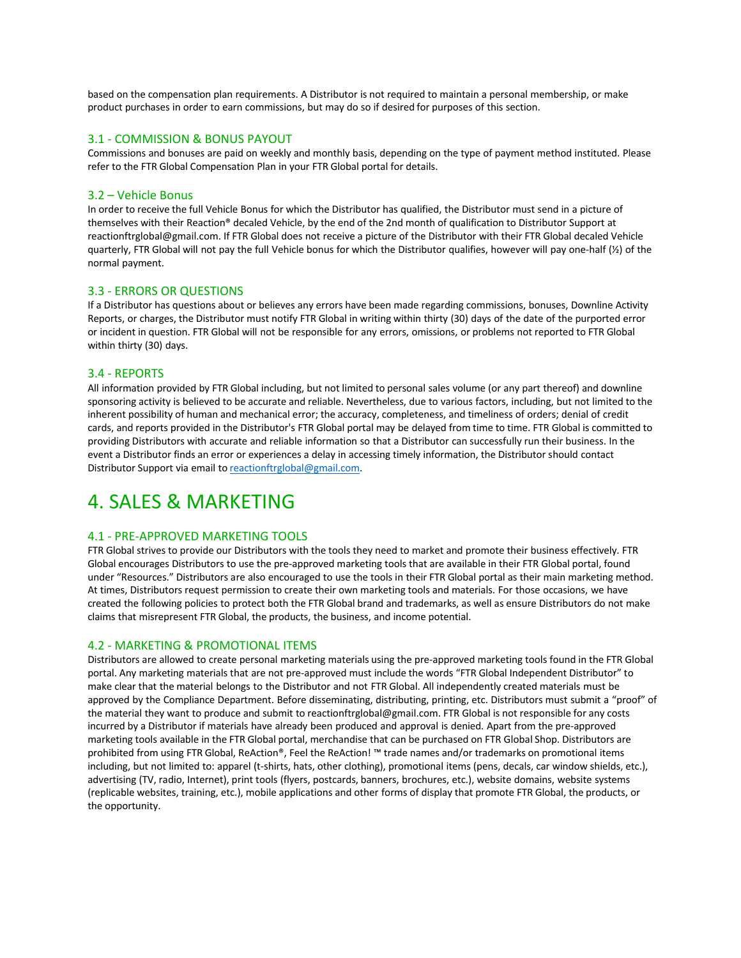based on the compensation plan requirements. A Distributor is not required to maintain a personal membership, or make product purchases in order to earn commissions, but may do so if desired for purposes of this section.

## 3.1 - COMMISSION & BONUS PAYOUT

Commissions and bonuses are paid on weekly and monthly basis, depending on the type of payment method instituted. Please refer to the FTR Global Compensation Plan in your FTR Global portal for details.

#### 3.2 – Vehicle Bonus

In order to receive the full Vehicle Bonus for which the Distributor has qualified, the Distributor must send in a picture of themselves with their Reaction® decaled Vehicle, by the end of the 2nd month of qualification to Distributor Support at reactionftrglobal@gmail.com. If FTR Global does not receive a picture of the Distributor with their FTR Global decaled Vehicle quarterly, FTR Global will not pay the full Vehicle bonus for which the Distributor qualifies, however will pay one-half (½) of the normal payment.

#### 3.3 - ERRORS OR QUESTIONS

If a Distributor has questions about or believes any errors have been made regarding commissions, bonuses, Downline Activity Reports, or charges, the Distributor must notify FTR Global in writing within thirty (30) days of the date of the purported error or incident in question. FTR Global will not be responsible for any errors, omissions, or problems not reported to FTR Global within thirty (30) days.

#### 3.4 - REPORTS

All information provided by FTR Global including, but not limited to personal sales volume (or any part thereof) and downline sponsoring activity is believed to be accurate and reliable. Nevertheless, due to various factors, including, but not limited to the inherent possibility of human and mechanical error; the accuracy, completeness, and timeliness of orders; denial of credit cards, and reports provided in the Distributor's FTR Global portal may be delayed from time to time. FTR Global is committed to providing Distributors with accurate and reliable information so that a Distributor can successfully run their business. In the event a Distributor finds an error or experiences a delay in accessing timely information, the Distributor should contact Distributor Support via email to reactionftrglobal@gmail.com.

## 4. SALES & MARKETING

#### 4.1 - PRE-APPROVED MARKETING TOOLS

FTR Global strives to provide our Distributors with the tools they need to market and promote their business effectively. FTR Global encourages Distributors to use the pre-approved marketing tools that are available in their FTR Global portal, found under "Resources." Distributors are also encouraged to use the tools in their FTR Global portal as their main marketing method. At times, Distributors request permission to create their own marketing tools and materials. For those occasions, we have created the following policies to protect both the FTR Global brand and trademarks, as well as ensure Distributors do not make claims that misrepresent FTR Global, the products, the business, and income potential.

## 4.2 - MARKETING & PROMOTIONAL ITEMS

Distributors are allowed to create personal marketing materials using the pre-approved marketing tools found in the FTR Global portal. Any marketing materials that are not pre-approved must include the words "FTR Global Independent Distributor" to make clear that the material belongs to the Distributor and not FTR Global. All independently created materials must be approved by the Compliance Department. Before disseminating, distributing, printing, etc. Distributors must submit a "proof" of the material they want to produce and submit to reactionftrglobal@gmail.com. FTR Global is not responsible for any costs incurred by a Distributor if materials have already been produced and approval is denied. Apart from the pre-approved marketing tools available in the FTR Global portal, merchandise that can be purchased on FTR Global Shop. Distributors are prohibited from using FTR Global, ReAction®, Feel the ReAction! ™ trade names and/or trademarks on promotional items including, but not limited to: apparel (t-shirts, hats, other clothing), promotional items (pens, decals, car window shields, etc.), advertising (TV, radio, Internet), print tools (flyers, postcards, banners, brochures, etc.), website domains, website systems (replicable websites, training, etc.), mobile applications and other forms of display that promote FTR Global, the products, or the opportunity.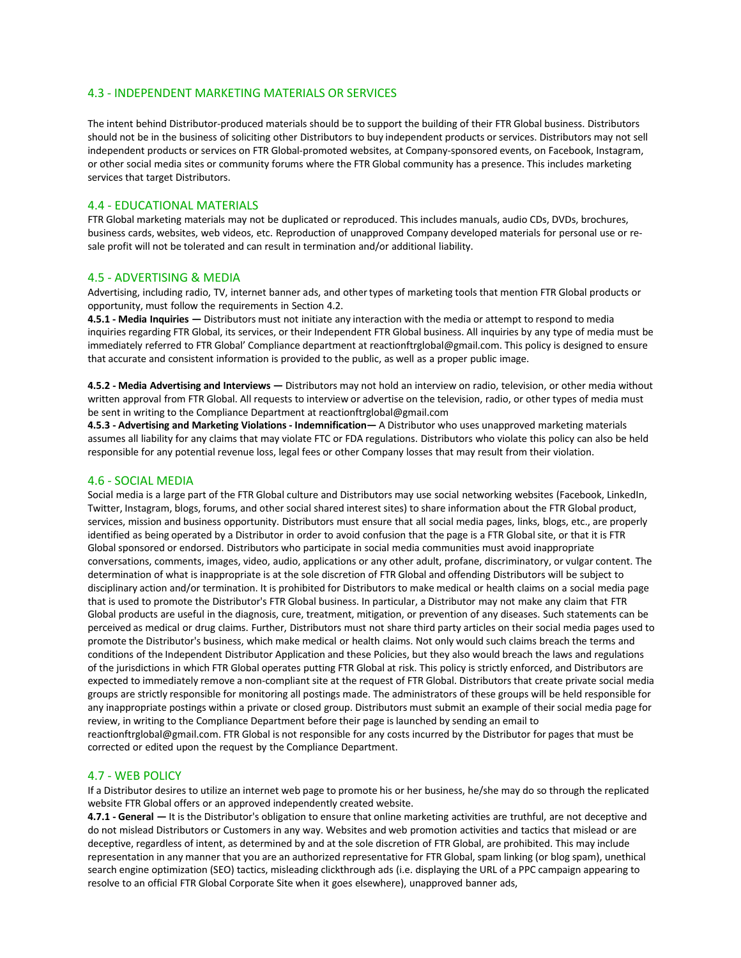## 4.3 - INDEPENDENT MARKETING MATERIALS OR SERVICES

The intent behind Distributor-produced materials should be to support the building of their FTR Global business. Distributors should not be in the business of soliciting other Distributors to buy independent products or services. Distributors may not sell independent products or services on FTR Global-promoted websites, at Company-sponsored events, on Facebook, Instagram, or other social media sites or community forums where the FTR Global community has a presence. This includes marketing services that target Distributors.

## 4.4 - EDUCATIONAL MATERIALS

FTR Global marketing materials may not be duplicated or reproduced. This includes manuals, audio CDs, DVDs, brochures, business cards, websites, web videos, etc. Reproduction of unapproved Company developed materials for personal use or resale profit will not be tolerated and can result in termination and/or additional liability.

#### 4.5 - ADVERTISING & MEDIA

Advertising, including radio, TV, internet banner ads, and othertypes of marketing tools that mention FTR Global products or opportunity, must follow the requirements in Section 4.2.

**4.5.1 - Media Inquiries —** Distributors must not initiate any interaction with the media or attempt to respond to media inquiries regarding FTR Global, its services, or their Independent FTR Global business. All inquiries by any type of media must be immediately referred to FTR Global' Compliance department at reactionftrglobal@gmail.com. This policy is designed to ensure that accurate and consistent information is provided to the public, as well as a proper public image.

**4.5.2 - Media Advertising and Interviews —** Distributors may not hold an interview on radio, television, or other media without written approval from FTR Global. All requests to interview or advertise on the television, radio, or other types of media must be sent in writing to the Compliance Department at reactionftrglobal@gmail.com

**4.5.3 - Advertising and Marketing Violations - Indemnification—** A Distributor who uses unapproved marketing materials assumes all liability for any claims that may violate FTC or FDA regulations. Distributors who violate this policy can also be held responsible for any potential revenue loss, legal fees or other Company losses that may result from their violation.

#### 4.6 - SOCIAL MEDIA

Social media is a large part of the FTR Global culture and Distributors may use social networking websites (Facebook, LinkedIn, Twitter, Instagram, blogs, forums, and other social shared interest sites) to share information about the FTR Global product, services, mission and business opportunity. Distributors must ensure that all social media pages, links, blogs, etc., are properly identified as being operated by a Distributor in order to avoid confusion that the page is a FTR Global site, or that it is FTR Global sponsored or endorsed. Distributors who participate in social media communities must avoid inappropriate conversations, comments, images, video, audio, applications or any other adult, profane, discriminatory, or vulgar content. The determination of what is inappropriate is at the sole discretion of FTR Global and offending Distributors will be subject to disciplinary action and/or termination. It is prohibited for Distributors to make medical or health claims on a social media page that is used to promote the Distributor's FTR Global business. In particular, a Distributor may not make any claim that FTR Global products are useful in the diagnosis, cure, treatment, mitigation, or prevention of any diseases. Such statements can be perceived as medical or drug claims. Further, Distributors must not share third party articles on their social media pages used to promote the Distributor's business, which make medical or health claims. Not only would such claims breach the terms and conditions of the Independent Distributor Application and these Policies, but they also would breach the laws and regulations of the jurisdictions in which FTR Global operates putting FTR Global at risk. This policy is strictly enforced, and Distributors are expected to immediately remove a non-compliant site at the request of FTR Global. Distributors that create private social media groups are strictly responsible for monitoring all postings made. The administrators of these groups will be held responsible for any inappropriate postings within a private or closed group. Distributors must submit an example of their social media page for review, in writing to the Compliance Department before their page is launched by sending an email to reactionftrglobal@gmail.com. FTR Global is not responsible for any costs incurred by the Distributor for pages that must be corrected or edited upon the request by the Compliance Department.

#### 4.7 - WEB POLICY

If a Distributor desires to utilize an internet web page to promote his or her business, he/she may do so through the replicated website FTR Global offers or an approved independently created website.

**4.7.1 - General —** It is the Distributor's obligation to ensure that online marketing activities are truthful, are not deceptive and do not mislead Distributors or Customers in any way. Websites and web promotion activities and tactics that mislead or are deceptive, regardless of intent, as determined by and at the sole discretion of FTR Global, are prohibited. This may include representation in any manner that you are an authorized representative for FTR Global, spam linking (or blog spam), unethical search engine optimization (SEO) tactics, misleading clickthrough ads (i.e. displaying the URL of a PPC campaign appearing to resolve to an official FTR Global Corporate Site when it goes elsewhere), unapproved banner ads,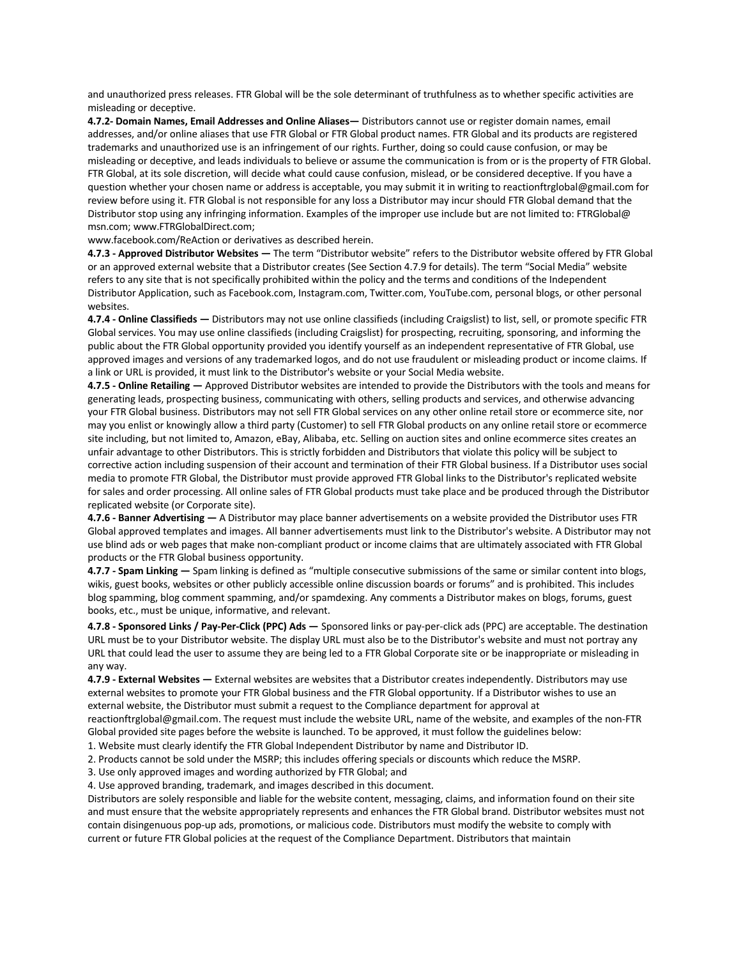and unauthorized press releases. FTR Global will be the sole determinant of truthfulness as to whether specific activities are misleading or deceptive.

**4.7.2- Domain Names, Email Addresses and Online Aliases—** Distributors cannot use or register domain names, email addresses, and/or online aliases that use FTR Global or FTR Global product names. FTR Global and its products are registered trademarks and unauthorized use is an infringement of our rights. Further, doing so could cause confusion, or may be misleading or deceptive, and leads individuals to believe or assume the communication is from or is the property of FTR Global. FTR Global, at its sole discretion, will decide what could cause confusion, mislead, or be considered deceptive. If you have a question whether your chosen name or address is acceptable, you may submit it in writing to reactionftrglobal@gmail.com for review before using it. FTR Global is not responsible for any loss a Distributor may incur should FTR Global demand that the Distributor stop using any infringing information. Examples of the improper use include but are not limited to: FTRGlobal@ msn.com; www.FTRGlobalDirect.com;

www.facebook.com/ReAction or derivatives as described herein.

**4.7.3 - Approved Distributor Websites —** The term "Distributor website" refers to the Distributor website offered by FTR Global or an approved external website that a Distributor creates (See Section 4.7.9 for details). The term "Social Media" website refers to any site that is not specifically prohibited within the policy and the terms and conditions of the Independent Distributor Application, such as Facebook.com, Instagram.com, Twitter.com, YouTube.com, personal blogs, or other personal websites.

**4.7.4 - Online Classifieds —** Distributors may not use online classifieds (including Craigslist) to list, sell, or promote specific FTR Global services. You may use online classifieds (including Craigslist) for prospecting, recruiting, sponsoring, and informing the public about the FTR Global opportunity provided you identify yourself as an independent representative of FTR Global, use approved images and versions of any trademarked logos, and do not use fraudulent or misleading product or income claims. If a link or URL is provided, it must link to the Distributor's website or your Social Media website.

**4.7.5 - Online Retailing —** Approved Distributor websites are intended to provide the Distributors with the tools and means for generating leads, prospecting business, communicating with others, selling products and services, and otherwise advancing your FTR Global business. Distributors may not sell FTR Global services on any other online retail store or ecommerce site, nor may you enlist or knowingly allow a third party (Customer) to sell FTR Global products on any online retail store or ecommerce site including, but not limited to, Amazon, eBay, Alibaba, etc. Selling on auction sites and online ecommerce sites creates an unfair advantage to other Distributors. This is strictly forbidden and Distributors that violate this policy will be subject to corrective action including suspension of their account and termination of their FTR Global business. If a Distributor uses social media to promote FTR Global, the Distributor must provide approved FTR Global links to the Distributor's replicated website for sales and order processing. All online sales of FTR Global products must take place and be produced through the Distributor replicated website (or Corporate site).

**4.7.6 - Banner Advertising —** A Distributor may place banner advertisements on a website provided the Distributor uses FTR Global approved templates and images. All banner advertisements must link to the Distributor's website. A Distributor may not use blind ads or web pages that make non-compliant product or income claims that are ultimately associated with FTR Global products or the FTR Global business opportunity.

**4.7.7 - Spam Linking —** Spam linking is defined as "multiple consecutive submissions of the same or similar content into blogs, wikis, guest books, websites or other publicly accessible online discussion boards or forums" and is prohibited. This includes blog spamming, blog comment spamming, and/or spamdexing. Any comments a Distributor makes on blogs, forums, guest books, etc., must be unique, informative, and relevant.

**4.7.8 - Sponsored Links / Pay-Per-Click (PPC) Ads —** Sponsored links or pay-per-click ads (PPC) are acceptable. The destination URL must be to your Distributor website. The display URL must also be to the Distributor's website and must not portray any URL that could lead the user to assume they are being led to a FTR Global Corporate site or be inappropriate or misleading in any way.

**4.7.9 - External Websites —** External websites are websites that a Distributor creates independently. Distributors may use external websites to promote your FTR Global business and the FTR Global opportunity. If a Distributor wishes to use an external website, the Distributor must submit a request to the Compliance department for approval at

reactionftrglobal@gmail.com. The request must include the website URL, name of the website, and examples of the non-FTR Global provided site pages before the website is launched. To be approved, it must follow the guidelines below:

1. Website must clearly identify the FTR Global Independent Distributor by name and Distributor ID.

2. Products cannot be sold under the MSRP; this includes offering specials or discounts which reduce the MSRP.

3. Use only approved images and wording authorized by FTR Global; and

4. Use approved branding, trademark, and images described in this document.

Distributors are solely responsible and liable for the website content, messaging, claims, and information found on their site and must ensure that the website appropriately represents and enhances the FTR Global brand. Distributor websites must not contain disingenuous pop-up ads, promotions, or malicious code. Distributors must modify the website to comply with current or future FTR Global policies at the request of the Compliance Department. Distributors that maintain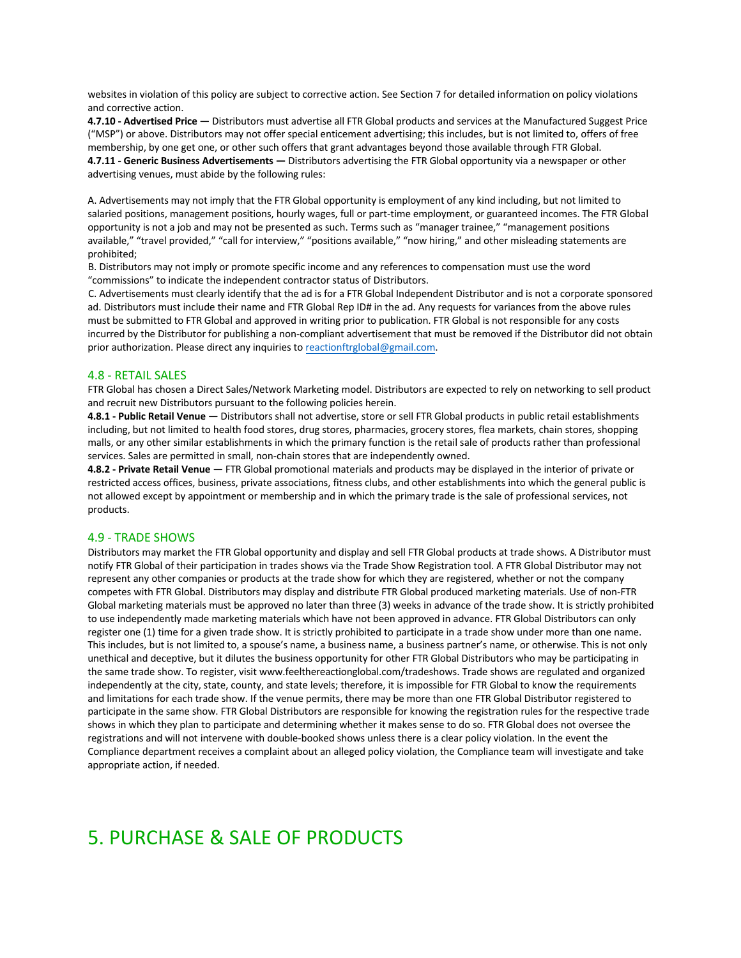websites in violation of this policy are subject to corrective action. See Section 7 for detailed information on policy violations and corrective action.

**4.7.10 - Advertised Price —** Distributors must advertise all FTR Global products and services at the Manufactured Suggest Price ("MSP") or above. Distributors may not offer special enticement advertising; this includes, but is not limited to, offers of free membership, by one get one, or other such offers that grant advantages beyond those available through FTR Global. **4.7.11 - Generic Business Advertisements —** Distributors advertising the FTR Global opportunity via a newspaper or other advertising venues, must abide by the following rules:

A. Advertisements may not imply that the FTR Global opportunity is employment of any kind including, but not limited to salaried positions, management positions, hourly wages, full or part-time employment, or guaranteed incomes. The FTR Global opportunity is not a job and may not be presented as such. Terms such as "manager trainee," "management positions available," "travel provided," "call for interview," "positions available," "now hiring," and other misleading statements are prohibited;

B. Distributors may not imply or promote specific income and any references to compensation must use the word "commissions" to indicate the independent contractor status of Distributors.

C. Advertisements must clearly identify that the ad is for a FTR Global Independent Distributor and is not a corporate sponsored ad. Distributors must include their name and FTR Global Rep ID# in the ad. Any requests for variances from the above rules must be submitted to FTR Global and approved in writing prior to publication. FTR Global is not responsible for any costs incurred by the Distributor for publishing a non-compliant advertisement that must be removed if the Distributor did not obtain prior authorization. Please direct any inquiries to reactionftrglobal@gmail.com.

#### 4.8 - RETAIL SALES

FTR Global has chosen a Direct Sales/Network Marketing model. Distributors are expected to rely on networking to sell product and recruit new Distributors pursuant to the following policies herein.

**4.8.1 - Public Retail Venue —** Distributors shall not advertise, store or sell FTR Global products in public retail establishments including, but not limited to health food stores, drug stores, pharmacies, grocery stores, flea markets, chain stores, shopping malls, or any other similar establishments in which the primary function is the retail sale of products rather than professional services. Sales are permitted in small, non-chain stores that are independently owned.

**4.8.2 - Private Retail Venue —** FTR Global promotional materials and products may be displayed in the interior of private or restricted access offices, business, private associations, fitness clubs, and other establishments into which the general public is not allowed except by appointment or membership and in which the primary trade is the sale of professional services, not products.

#### 4.9 - TRADE SHOWS

Distributors may market the FTR Global opportunity and display and sell FTR Global products at trade shows. A Distributor must notify FTR Global of their participation in trades shows via the Trade Show Registration tool. A FTR Global Distributor may not represent any other companies or products at the trade show for which they are registered, whether or not the company competes with FTR Global. Distributors may display and distribute FTR Global produced marketing materials. Use of non-FTR Global marketing materials must be approved no later than three (3) weeks in advance of the trade show. It is strictly prohibited to use independently made marketing materials which have not been approved in advance. FTR Global Distributors can only register one (1) time for a given trade show. It is strictly prohibited to participate in a trade show under more than one name. This includes, but is not limited to, a spouse's name, a business name, a business partner's name, or otherwise. This is not only unethical and deceptive, but it dilutes the business opportunity for other FTR Global Distributors who may be participating in the same trade show. To register, visit www.feelthereactionglobal.com/tradeshows. Trade shows are regulated and organized independently at the city, state, county, and state levels; therefore, it is impossible for FTR Global to know the requirements and limitations for each trade show. If the venue permits, there may be more than one FTR Global Distributor registered to participate in the same show. FTR Global Distributors are responsible for knowing the registration rules for the respective trade shows in which they plan to participate and determining whether it makes sense to do so. FTR Global does not oversee the registrations and will not intervene with double-booked shows unless there is a clear policy violation. In the event the Compliance department receives a complaint about an alleged policy violation, the Compliance team will investigate and take appropriate action, if needed.

## 5. PURCHASE & SALE OF PRODUCTS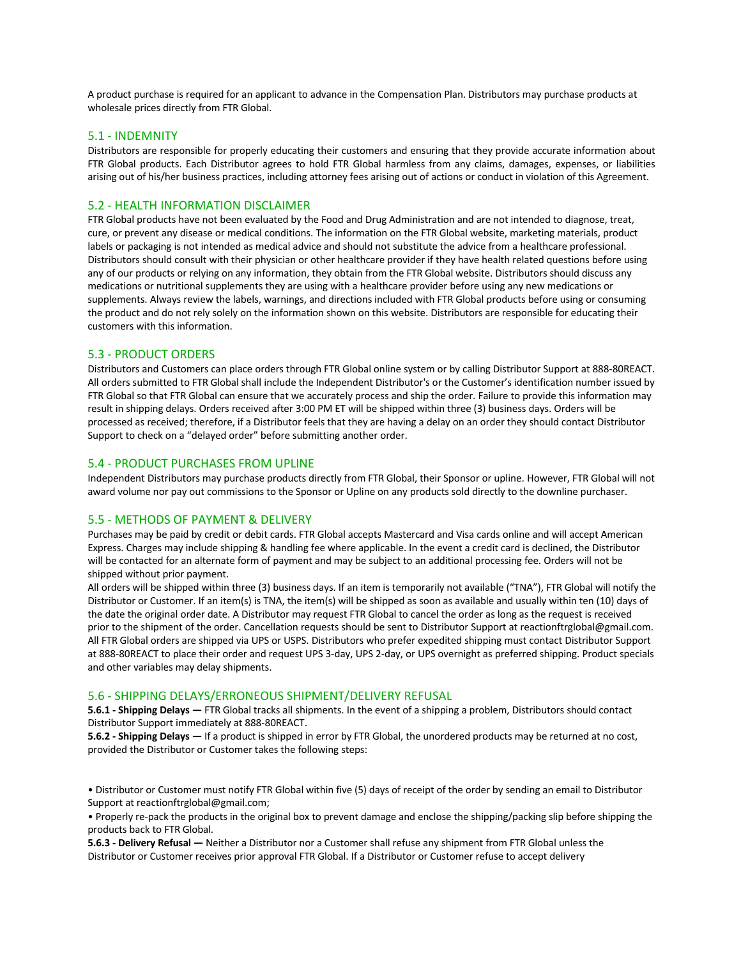A product purchase is required for an applicant to advance in the Compensation Plan. Distributors may purchase products at wholesale prices directly from FTR Global.

#### 5.1 - INDEMNITY

Distributors are responsible for properly educating their customers and ensuring that they provide accurate information about FTR Global products. Each Distributor agrees to hold FTR Global harmless from any claims, damages, expenses, or liabilities arising out of his/her business practices, including attorney fees arising out of actions or conduct in violation of this Agreement.

#### 5.2 - HEALTH INFORMATION DISCLAIMER

FTR Global products have not been evaluated by the Food and Drug Administration and are not intended to diagnose, treat, cure, or prevent any disease or medical conditions. The information on the FTR Global website, marketing materials, product labels or packaging is not intended as medical advice and should not substitute the advice from a healthcare professional. Distributors should consult with their physician or other healthcare provider if they have health related questions before using any of our products or relying on any information, they obtain from the FTR Global website. Distributors should discuss any medications or nutritional supplements they are using with a healthcare provider before using any new medications or supplements. Always review the labels, warnings, and directions included with FTR Global products before using or consuming the product and do not rely solely on the information shown on this website. Distributors are responsible for educating their customers with this information.

## 5.3 - PRODUCT ORDERS

Distributors and Customers can place orders through FTR Global online system or by calling Distributor Support at 888-80REACT. All orders submitted to FTR Global shall include the Independent Distributor's or the Customer's identification number issued by FTR Global so that FTR Global can ensure that we accurately process and ship the order. Failure to provide this information may result in shipping delays. Orders received after 3:00 PM ET will be shipped within three (3) business days. Orders will be processed as received; therefore, if a Distributor feels that they are having a delay on an order they should contact Distributor Support to check on a "delayed order" before submitting another order.

## 5.4 - PRODUCT PURCHASES FROM UPLINE

Independent Distributors may purchase products directly from FTR Global, their Sponsor or upline. However, FTR Global will not award volume nor pay out commissions to the Sponsor or Upline on any products sold directly to the downline purchaser.

#### 5.5 - METHODS OF PAYMENT & DELIVERY

Purchases may be paid by credit or debit cards. FTR Global accepts Mastercard and Visa cards online and will accept American Express. Charges may include shipping & handling fee where applicable. In the event a credit card is declined, the Distributor will be contacted for an alternate form of payment and may be subject to an additional processing fee. Orders will not be shipped without prior payment.

All orders will be shipped within three (3) business days. If an item is temporarily not available ("TNA"), FTR Global will notify the Distributor or Customer. If an item(s) is TNA, the item(s) will be shipped as soon as available and usually within ten (10) days of the date the original order date. A Distributor may request FTR Global to cancel the order as long as the request is received prior to the shipment of the order. Cancellation requests should be sent to Distributor Support at reactionftrglobal@gmail.com. All FTR Global orders are shipped via UPS or USPS. Distributors who prefer expedited shipping must contact Distributor Support at 888-80REACT to place their order and request UPS 3-day, UPS 2-day, or UPS overnight as preferred shipping. Product specials and other variables may delay shipments.

#### 5.6 - SHIPPING DELAYS/ERRONEOUS SHIPMENT/DELIVERY REFUSAL

**5.6.1 - Shipping Delays —** FTR Global tracks all shipments. In the event of a shipping a problem, Distributors should contact Distributor Support immediately at 888-80REACT.

**5.6.2 - Shipping Delays —** If a product is shipped in error by FTR Global, the unordered products may be returned at no cost, provided the Distributor or Customer takes the following steps:

• Distributor or Customer must notify FTR Global within five (5) days of receipt of the order by sending an email to Distributor Support at reactionftrglobal@gmail.com;

• Properly re-pack the products in the original box to prevent damage and enclose the shipping/packing slip before shipping the products back to FTR Global.

**5.6.3 - Delivery Refusal —** Neither a Distributor nor a Customer shall refuse any shipment from FTR Global unless the Distributor or Customer receives prior approval FTR Global. If a Distributor or Customer refuse to accept delivery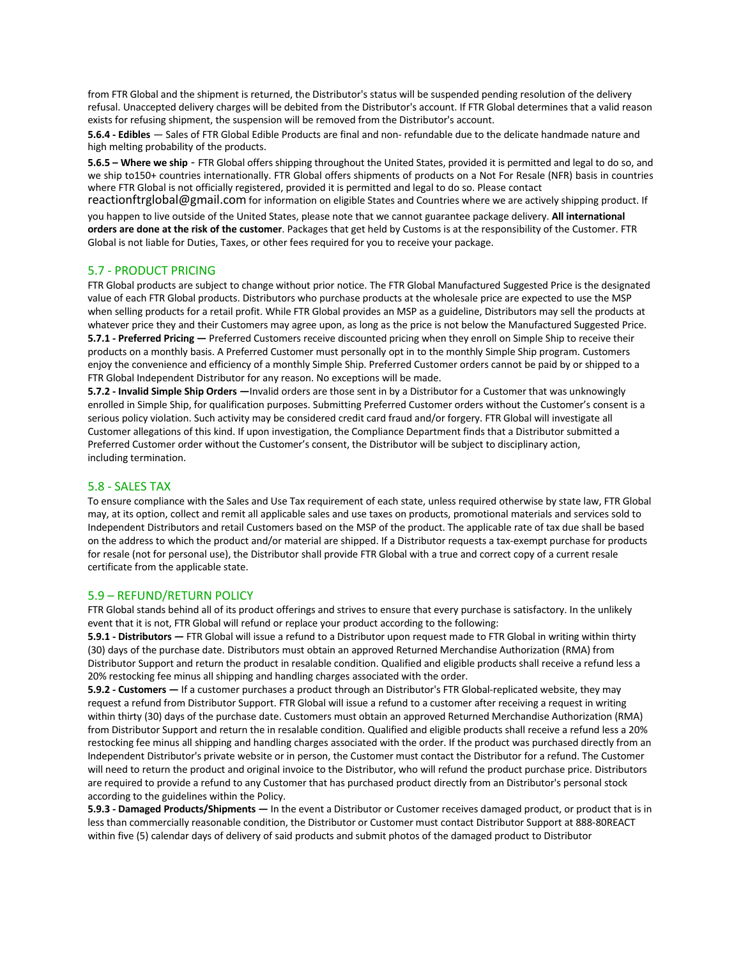from FTR Global and the shipment is returned, the Distributor's status will be suspended pending resolution of the delivery refusal. Unaccepted delivery charges will be debited from the Distributor's account. If FTR Global determines that a valid reason exists for refusing shipment, the suspension will be removed from the Distributor's account.

**5.6.4 - Edibles** — Sales of FTR Global Edible Products are final and non- refundable due to the delicate handmade nature and high melting probability of the products.

**5.6.5 – Where we ship** - FTR Global offers shipping throughout the United States, provided it is permitted and legal to do so, and we ship to150+ countries internationally. FTR Global offers shipments of products on a Not For Resale (NFR) basis in countries where FTR Global is not officially registered, provided it is permitted and legal to do so. Please contact

reactionftrglobal@gmail.com for information on eligible States and Countries where we are actively shipping product. If you happen to live outside of the United States, please note that we cannot guarantee package delivery. **All international orders are done at the risk of the customer**. Packages that get held by Customs is at the responsibility of the Customer. FTR Global is not liable for Duties, Taxes, or other fees required for you to receive your package.

## 5.7 - PRODUCT PRICING

FTR Global products are subject to change without prior notice. The FTR Global Manufactured Suggested Price is the designated value of each FTR Global products. Distributors who purchase products at the wholesale price are expected to use the MSP when selling products for a retail profit. While FTR Global provides an MSP as a guideline, Distributors may sell the products at whatever price they and their Customers may agree upon, as long as the price is not below the Manufactured Suggested Price. **5.7.1 - Preferred Pricing —** Preferred Customers receive discounted pricing when they enroll on Simple Ship to receive their products on a monthly basis. A Preferred Customer must personally opt in to the monthly Simple Ship program. Customers enjoy the convenience and efficiency of a monthly Simple Ship. Preferred Customer orders cannot be paid by or shipped to a FTR Global Independent Distributor for any reason. No exceptions will be made.

**5.7.2 - Invalid Simple Ship Orders —**Invalid orders are those sent in by a Distributor for a Customer that was unknowingly enrolled in Simple Ship, for qualification purposes. Submitting Preferred Customer orders without the Customer's consent is a serious policy violation. Such activity may be considered credit card fraud and/or forgery. FTR Global will investigate all Customer allegations of this kind. If upon investigation, the Compliance Department finds that a Distributor submitted a Preferred Customer order without the Customer's consent, the Distributor will be subject to disciplinary action, including termination.

## 5.8 - SALES TAX

To ensure compliance with the Sales and Use Tax requirement of each state, unless required otherwise by state law, FTR Global may, at its option, collect and remit all applicable sales and use taxes on products, promotional materials and services sold to Independent Distributors and retail Customers based on the MSP of the product. The applicable rate of tax due shall be based on the address to which the product and/or material are shipped. If a Distributor requests a tax-exempt purchase for products for resale (not for personal use), the Distributor shall provide FTR Global with a true and correct copy of a current resale certificate from the applicable state.

## 5.9 – REFUND/RETURN POLICY

FTR Global stands behind all of its product offerings and strives to ensure that every purchase is satisfactory. In the unlikely event that it is not, FTR Global will refund or replace your product according to the following:

**5.9.1 - Distributors —** FTR Global will issue a refund to a Distributor upon request made to FTR Global in writing within thirty (30) days of the purchase date. Distributors must obtain an approved Returned Merchandise Authorization (RMA) from Distributor Support and return the product in resalable condition. Qualified and eligible products shall receive a refund less a 20% restocking fee minus all shipping and handling charges associated with the order.

**5.9.2 - Customers —** If a customer purchases a product through an Distributor's FTR Global-replicated website, they may request a refund from Distributor Support. FTR Global will issue a refund to a customer after receiving a request in writing within thirty (30) days of the purchase date. Customers must obtain an approved Returned Merchandise Authorization (RMA) from Distributor Support and return the in resalable condition. Qualified and eligible products shall receive a refund less a 20% restocking fee minus all shipping and handling charges associated with the order. If the product was purchased directly from an Independent Distributor's private website or in person, the Customer must contact the Distributor for a refund. The Customer will need to return the product and original invoice to the Distributor, who will refund the product purchase price. Distributors are required to provide a refund to any Customer that has purchased product directly from an Distributor's personal stock according to the guidelines within the Policy.

**5.9.3 - Damaged Products/Shipments —** In the event a Distributor or Customer receives damaged product, or product that is in less than commercially reasonable condition, the Distributor or Customer must contact Distributor Support at 888-80REACT within five (5) calendar days of delivery of said products and submit photos of the damaged product to Distributor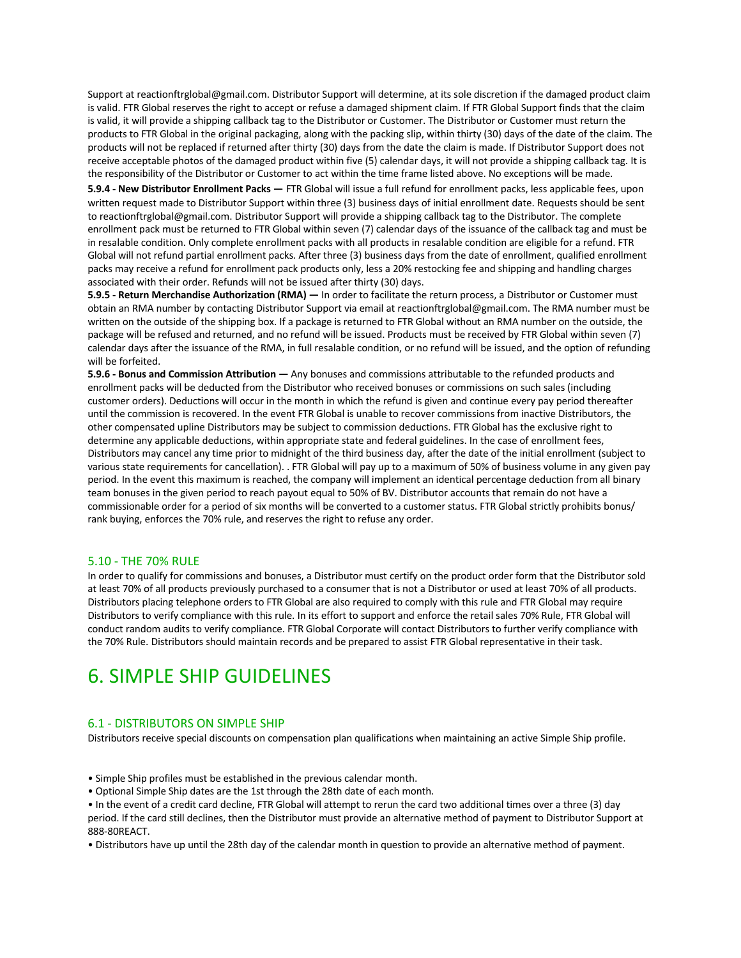Support at reactionftrglobal@gmail.com. Distributor Support will determine, at its sole discretion if the damaged product claim is valid. FTR Global reserves the right to accept or refuse a damaged shipment claim. If FTR Global Support finds that the claim is valid, it will provide a shipping callback tag to the Distributor or Customer. The Distributor or Customer must return the products to FTR Global in the original packaging, along with the packing slip, within thirty (30) days of the date of the claim. The products will not be replaced if returned after thirty (30) days from the date the claim is made. If Distributor Support does not receive acceptable photos of the damaged product within five (5) calendar days, it will not provide a shipping callback tag. It is the responsibility of the Distributor or Customer to act within the time frame listed above. No exceptions will be made.

**5.9.4 - New Distributor Enrollment Packs —** FTR Global will issue a full refund for enrollment packs, less applicable fees, upon written request made to Distributor Support within three (3) business days of initial enrollment date. Requests should be sent to reactionftrglobal@gmail.com. Distributor Support will provide a shipping callback tag to the Distributor. The complete enrollment pack must be returned to FTR Global within seven (7) calendar days of the issuance of the callback tag and must be in resalable condition. Only complete enrollment packs with all products in resalable condition are eligible for a refund. FTR Global will not refund partial enrollment packs. After three (3) business days from the date of enrollment, qualified enrollment packs may receive a refund for enrollment pack products only, less a 20% restocking fee and shipping and handling charges associated with their order. Refunds will not be issued after thirty (30) days.

**5.9.5 - Return Merchandise Authorization (RMA) —** In order to facilitate the return process, a Distributor or Customer must obtain an RMA number by contacting Distributor Support via email at reactionftrglobal@gmail.com. The RMA number must be written on the outside of the shipping box. If a package is returned to FTR Global without an RMA number on the outside, the package will be refused and returned, and no refund will be issued. Products must be received by FTR Global within seven (7) calendar days after the issuance of the RMA, in full resalable condition, or no refund will be issued, and the option of refunding will be forfeited.

**5.9.6 - Bonus and Commission Attribution —** Any bonuses and commissions attributable to the refunded products and enrollment packs will be deducted from the Distributor who received bonuses or commissions on such sales (including customer orders). Deductions will occur in the month in which the refund is given and continue every pay period thereafter until the commission is recovered. In the event FTR Global is unable to recover commissions from inactive Distributors, the other compensated upline Distributors may be subject to commission deductions. FTR Global has the exclusive right to determine any applicable deductions, within appropriate state and federal guidelines. In the case of enrollment fees, Distributors may cancel any time prior to midnight of the third business day, after the date of the initial enrollment (subject to various state requirements for cancellation). . FTR Global will pay up to a maximum of 50% of business volume in any given pay period. In the event this maximum is reached, the company will implement an identical percentage deduction from all binary team bonuses in the given period to reach payout equal to 50% of BV. Distributor accounts that remain do not have a commissionable order for a period of six months will be converted to a customer status. FTR Global strictly prohibits bonus/ rank buying, enforces the 70% rule, and reserves the right to refuse any order.

#### 5.10 - THE 70% RULE

In order to qualify for commissions and bonuses, a Distributor must certify on the product order form that the Distributor sold at least 70% of all products previously purchased to a consumer that is not a Distributor or used at least 70% of all products. Distributors placing telephone orders to FTR Global are also required to comply with this rule and FTR Global may require Distributors to verify compliance with this rule. In its effort to support and enforce the retail sales 70% Rule, FTR Global will conduct random audits to verify compliance. FTR Global Corporate will contact Distributors to further verify compliance with the 70% Rule. Distributors should maintain records and be prepared to assist FTR Global representative in their task.

## 6. SIMPLE SHIP GUIDELINES

#### 6.1 - DISTRIBUTORS ON SIMPLE SHIP

Distributors receive special discounts on compensation plan qualifications when maintaining an active Simple Ship profile.

- Simple Ship profiles must be established in the previous calendar month.
- Optional Simple Ship dates are the 1st through the 28th date of each month.

• In the event of a credit card decline, FTR Global will attempt to rerun the card two additional times over a three (3) day period. If the card still declines, then the Distributor must provide an alternative method of payment to Distributor Support at 888-80REACT.

• Distributors have up until the 28th day of the calendar month in question to provide an alternative method of payment.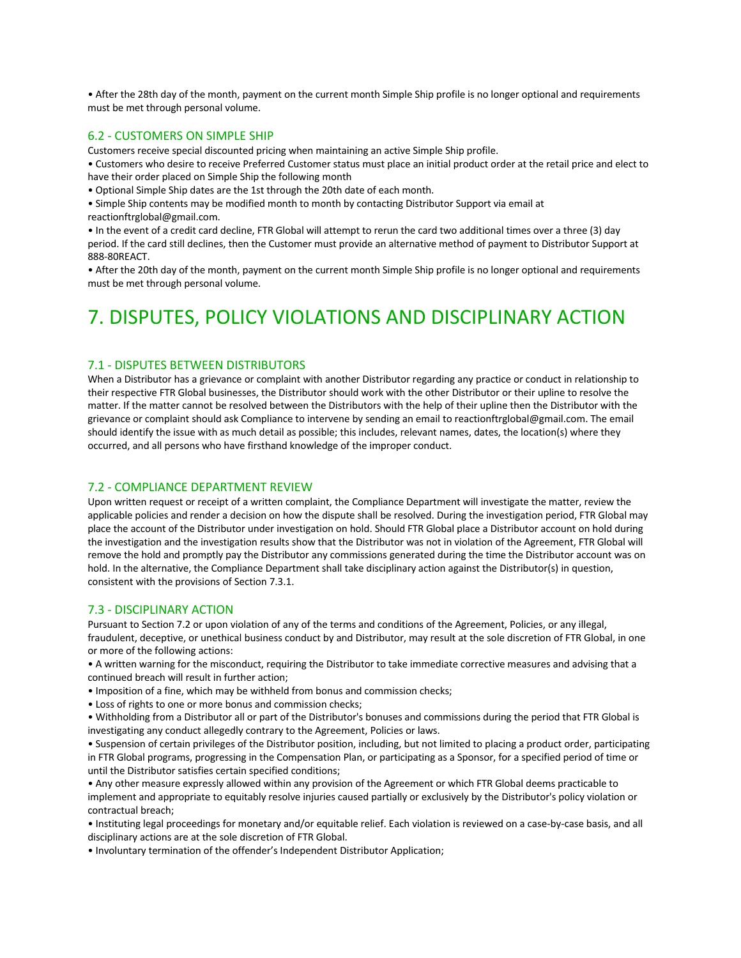• After the 28th day of the month, payment on the current month Simple Ship profile is no longer optional and requirements must be met through personal volume.

#### 6.2 - CUSTOMERS ON SIMPLE SHIP

Customers receive special discounted pricing when maintaining an active Simple Ship profile.

• Customers who desire to receive Preferred Customer status must place an initial product order at the retail price and elect to have their order placed on Simple Ship the following month

• Optional Simple Ship dates are the 1st through the 20th date of each month.

• Simple Ship contents may be modified month to month by contacting Distributor Support via email at reactionftrglobal@gmail.com.

• In the event of a credit card decline, FTR Global will attempt to rerun the card two additional times over a three (3) day period. If the card still declines, then the Customer must provide an alternative method of payment to Distributor Support at 888-80REACT.

• After the 20th day of the month, payment on the current month Simple Ship profile is no longer optional and requirements must be met through personal volume.

## 7. DISPUTES, POLICY VIOLATIONS AND DISCIPLINARY ACTION

## 7.1 - DISPUTES BETWEEN DISTRIBUTORS

When a Distributor has a grievance or complaint with another Distributor regarding any practice or conduct in relationship to their respective FTR Global businesses, the Distributor should work with the other Distributor or their upline to resolve the matter. If the matter cannot be resolved between the Distributors with the help of their upline then the Distributor with the grievance or complaint should ask Compliance to intervene by sending an email to reactionftrglobal@gmail.com. The email should identify the issue with as much detail as possible; this includes, relevant names, dates, the location(s) where they occurred, and all persons who have firsthand knowledge of the improper conduct.

#### 7.2 - COMPLIANCE DEPARTMENT REVIEW

Upon written request or receipt of a written complaint, the Compliance Department will investigate the matter, review the applicable policies and render a decision on how the dispute shall be resolved. During the investigation period, FTR Global may place the account of the Distributor under investigation on hold. Should FTR Global place a Distributor account on hold during the investigation and the investigation results show that the Distributor was not in violation of the Agreement, FTR Global will remove the hold and promptly pay the Distributor any commissions generated during the time the Distributor account was on hold. In the alternative, the Compliance Department shall take disciplinary action against the Distributor(s) in question, consistent with the provisions of Section 7.3.1.

#### 7.3 - DISCIPLINARY ACTION

Pursuant to Section 7.2 or upon violation of any of the terms and conditions of the Agreement, Policies, or any illegal, fraudulent, deceptive, or unethical business conduct by and Distributor, may result at the sole discretion of FTR Global, in one or more of the following actions:

• A written warning for the misconduct, requiring the Distributor to take immediate corrective measures and advising that a continued breach will result in further action;

- Imposition of a fine, which may be withheld from bonus and commission checks;
- Loss of rights to one or more bonus and commission checks;

• Withholding from a Distributor all or part of the Distributor's bonuses and commissions during the period that FTR Global is investigating any conduct allegedly contrary to the Agreement, Policies or laws.

• Suspension of certain privileges of the Distributor position, including, but not limited to placing a product order, participating in FTR Global programs, progressing in the Compensation Plan, or participating as a Sponsor, for a specified period of time or until the Distributor satisfies certain specified conditions;

• Any other measure expressly allowed within any provision of the Agreement or which FTR Global deems practicable to implement and appropriate to equitably resolve injuries caused partially or exclusively by the Distributor's policy violation or contractual breach;

• Instituting legal proceedings for monetary and/or equitable relief. Each violation is reviewed on a case-by-case basis, and all disciplinary actions are at the sole discretion of FTR Global.

• Involuntary termination of the offender's Independent Distributor Application;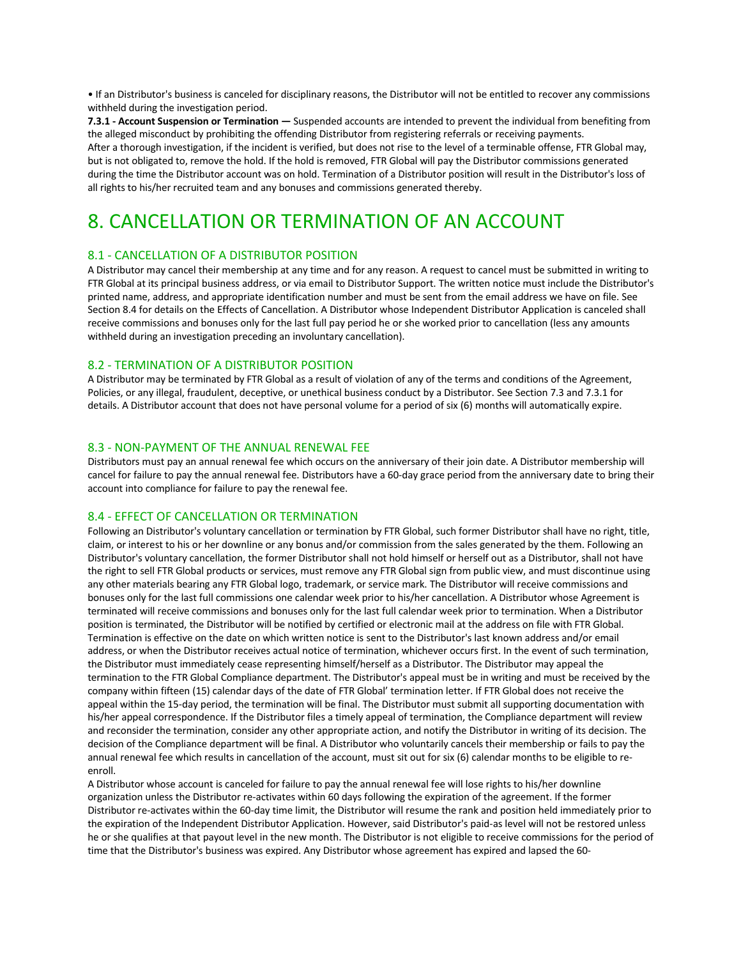• If an Distributor's business is canceled for disciplinary reasons, the Distributor will not be entitled to recover any commissions withheld during the investigation period.

**7.3.1 - Account Suspension or Termination —** Suspended accounts are intended to prevent the individual from benefiting from the alleged misconduct by prohibiting the offending Distributor from registering referrals or receiving payments. After a thorough investigation, if the incident is verified, but does not rise to the level of a terminable offense, FTR Global may, but is not obligated to, remove the hold. If the hold is removed, FTR Global will pay the Distributor commissions generated during the time the Distributor account was on hold. Termination of a Distributor position will result in the Distributor's loss of all rights to his/her recruited team and any bonuses and commissions generated thereby.

# 8. CANCELLATION OR TERMINATION OF AN ACCOUNT

## 8.1 - CANCELLATION OF A DISTRIBUTOR POSITION

A Distributor may cancel their membership at any time and for any reason. A request to cancel must be submitted in writing to FTR Global at its principal business address, or via email to Distributor Support. The written notice must include the Distributor's printed name, address, and appropriate identification number and must be sent from the email address we have on file. See Section 8.4 for details on the Effects of Cancellation. A Distributor whose Independent Distributor Application is canceled shall receive commissions and bonuses only for the last full pay period he or she worked prior to cancellation (less any amounts withheld during an investigation preceding an involuntary cancellation).

#### 8.2 - TERMINATION OF A DISTRIBUTOR POSITION

A Distributor may be terminated by FTR Global as a result of violation of any of the terms and conditions of the Agreement, Policies, or any illegal, fraudulent, deceptive, or unethical business conduct by a Distributor. See Section 7.3 and 7.3.1 for details. A Distributor account that does not have personal volume for a period of six (6) months will automatically expire.

## 8.3 - NON-PAYMENT OF THE ANNUAL RENEWAL FEE

Distributors must pay an annual renewal fee which occurs on the anniversary of their join date. A Distributor membership will cancel for failure to pay the annual renewal fee. Distributors have a 60-day grace period from the anniversary date to bring their account into compliance for failure to pay the renewal fee.

#### 8.4 - EFFECT OF CANCELLATION OR TERMINATION

Following an Distributor's voluntary cancellation or termination by FTR Global, such former Distributor shall have no right, title, claim, or interest to his or her downline or any bonus and/or commission from the sales generated by the them. Following an Distributor's voluntary cancellation, the former Distributor shall not hold himself or herself out as a Distributor, shall not have the right to sell FTR Global products or services, must remove any FTR Global sign from public view, and must discontinue using any other materials bearing any FTR Global logo, trademark, or service mark. The Distributor will receive commissions and bonuses only for the last full commissions one calendar week prior to his/her cancellation. A Distributor whose Agreement is terminated will receive commissions and bonuses only for the last full calendar week prior to termination. When a Distributor position is terminated, the Distributor will be notified by certified or electronic mail at the address on file with FTR Global. Termination is effective on the date on which written notice is sent to the Distributor's last known address and/or email address, or when the Distributor receives actual notice of termination, whichever occurs first. In the event of such termination, the Distributor must immediately cease representing himself/herself as a Distributor. The Distributor may appeal the termination to the FTR Global Compliance department. The Distributor's appeal must be in writing and must be received by the company within fifteen (15) calendar days of the date of FTR Global' termination letter. If FTR Global does not receive the appeal within the 15-day period, the termination will be final. The Distributor must submit all supporting documentation with his/her appeal correspondence. If the Distributor files a timely appeal of termination, the Compliance department will review and reconsider the termination, consider any other appropriate action, and notify the Distributor in writing of its decision. The decision of the Compliance department will be final. A Distributor who voluntarily cancels their membership or fails to pay the annual renewal fee which results in cancellation of the account, must sit out for six (6) calendar months to be eligible to reenroll.

A Distributor whose account is canceled for failure to pay the annual renewal fee will lose rights to his/her downline organization unless the Distributor re-activates within 60 days following the expiration of the agreement. If the former Distributor re-activates within the 60-day time limit, the Distributor will resume the rank and position held immediately prior to the expiration of the Independent Distributor Application. However, said Distributor's paid-as level will not be restored unless he or she qualifies at that payout level in the new month. The Distributor is not eligible to receive commissions for the period of time that the Distributor's business was expired. Any Distributor whose agreement has expired and lapsed the 60-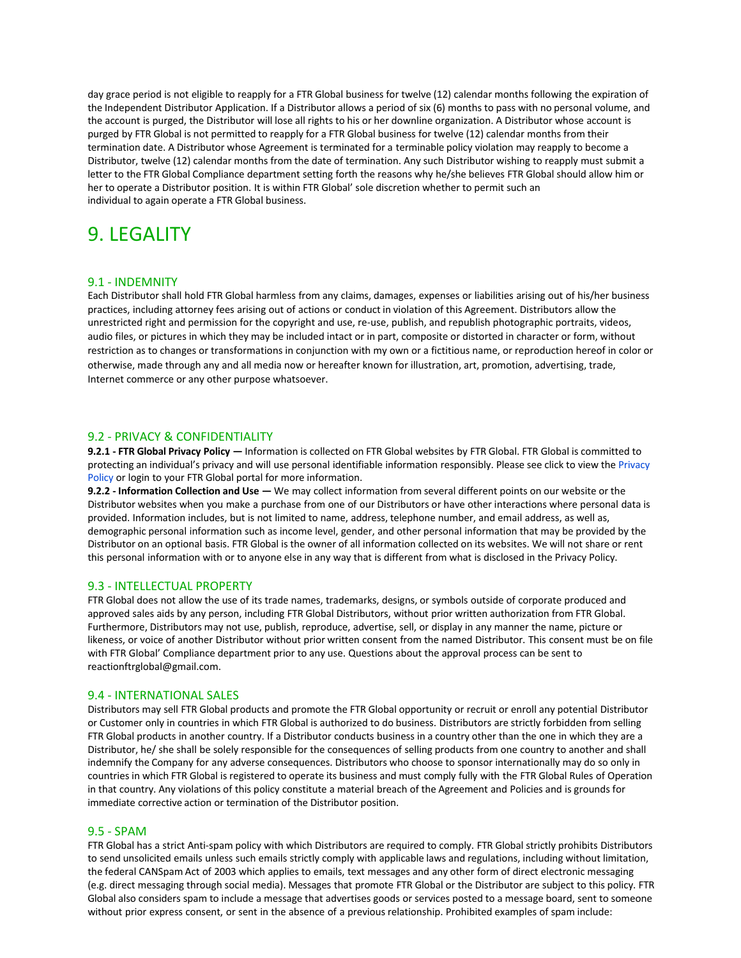day grace period is not eligible to reapply for a FTR Global business for twelve (12) calendar months following the expiration of the Independent Distributor Application. If a Distributor allows a period of six (6) months to pass with no personal volume, and the account is purged, the Distributor will lose all rights to his or her downline organization. A Distributor whose account is purged by FTR Global is not permitted to reapply for a FTR Global business for twelve (12) calendar months from their termination date. A Distributor whose Agreement is terminated for a terminable policy violation may reapply to become a Distributor, twelve (12) calendar months from the date of termination. Any such Distributor wishing to reapply must submit a letter to the FTR Global Compliance department setting forth the reasons why he/she believes FTR Global should allow him or her to operate a Distributor position. It is within FTR Global' sole discretion whether to permit such an individual to again operate a FTR Global business.

# 9. LEGALITY

#### 9.1 - INDEMNITY

Each Distributor shall hold FTR Global harmless from any claims, damages, expenses or liabilities arising out of his/her business practices, including attorney fees arising out of actions or conduct in violation of this Agreement. Distributors allow the unrestricted right and permission for the copyright and use, re-use, publish, and republish photographic portraits, videos, audio files, or pictures in which they may be included intact or in part, composite or distorted in character or form, without restriction as to changes or transformations in conjunction with my own or a fictitious name, or reproduction hereof in color or otherwise, made through any and all media now or hereafter known for illustration, art, promotion, advertising, trade, Internet commerce or any other purpose whatsoever.

#### 9.2 - PRIVACY & CONFIDENTIALITY

**9.2.1 - FTR Global Privacy Policy —** Information is collected on FTR Global websites by FTR Global. FTR Global is committed to protecting an individual's privacy and will use personal identifiable information responsibly. Please see click to view the Privacy Policy or login to your FTR Global portal for more information.

**9.2.2 - Information Collection and Use —** We may collect information from several different points on our website or the Distributor websites when you make a purchase from one of our Distributors or have other interactions where personal data is provided. Information includes, but is not limited to name, address, telephone number, and email address, as well as, demographic personal information such as income level, gender, and other personal information that may be provided by the Distributor on an optional basis. FTR Global is the owner of all information collected on its websites. We will not share or rent this personal information with or to anyone else in any way that is different from what is disclosed in the Privacy Policy.

#### 9.3 - INTELLECTUAL PROPERTY

FTR Global does not allow the use of its trade names, trademarks, designs, or symbols outside of corporate produced and approved sales aids by any person, including FTR Global Distributors, without prior written authorization from FTR Global. Furthermore, Distributors may not use, publish, reproduce, advertise, sell, or display in any manner the name, picture or likeness, or voice of another Distributor without prior written consent from the named Distributor. This consent must be on file with FTR Global' Compliance department prior to any use. Questions about the approval process can be sent to reactionftrglobal@gmail.com.

#### 9.4 - INTERNATIONAL SALES

Distributors may sell FTR Global products and promote the FTR Global opportunity or recruit or enroll any potential Distributor or Customer only in countries in which FTR Global is authorized to do business. Distributors are strictly forbidden from selling FTR Global products in another country. If a Distributor conducts business in a country other than the one in which they are a Distributor, he/ she shall be solely responsible for the consequences of selling products from one country to another and shall indemnify the Company for any adverse consequences. Distributors who choose to sponsor internationally may do so only in countries in which FTR Global is registered to operate its business and must comply fully with the FTR Global Rules of Operation in that country. Any violations of this policy constitute a material breach of the Agreement and Policies and is grounds for immediate corrective action or termination of the Distributor position.

## 9.5 - SPAM

FTR Global has a strict Anti-spam policy with which Distributors are required to comply. FTR Global strictly prohibits Distributors to send unsolicited emails unless such emails strictly comply with applicable laws and regulations, including without limitation, the federal CANSpam Act of 2003 which applies to emails, text messages and any other form of direct electronic messaging (e.g. direct messaging through social media). Messages that promote FTR Global or the Distributor are subject to this policy. FTR Global also considers spam to include a message that advertises goods or services posted to a message board, sent to someone without prior express consent, or sent in the absence of a previous relationship. Prohibited examples of spam include: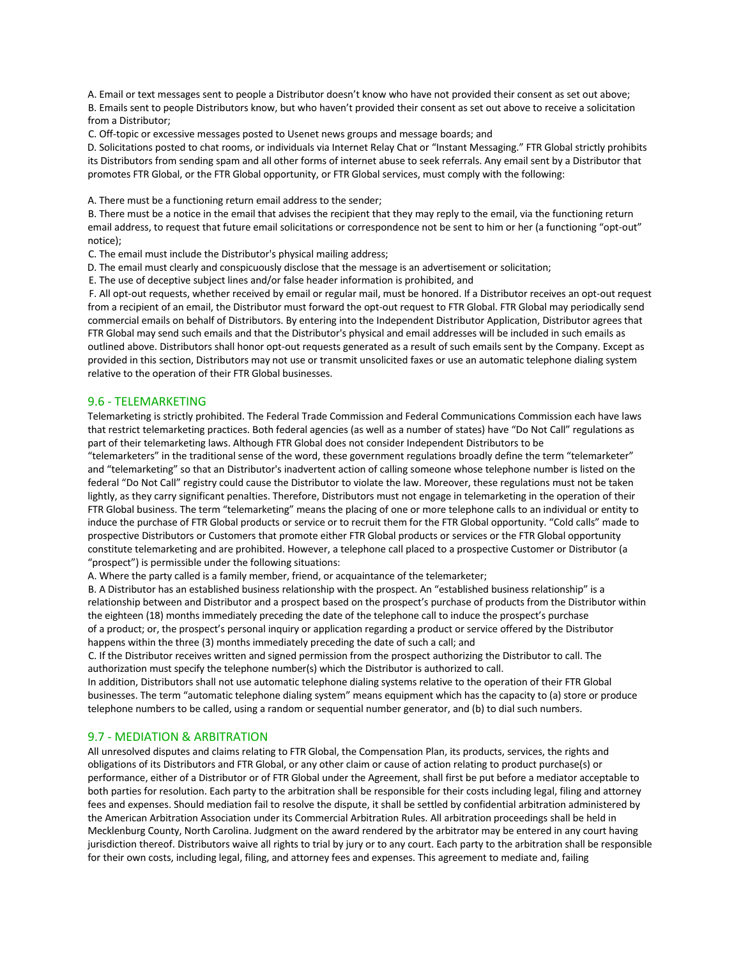A. Email or text messages sent to people a Distributor doesn't know who have not provided their consent as set out above; B. Emails sent to people Distributors know, but who haven't provided their consent as set out above to receive a solicitation from a Distributor;

C. Off-topic or excessive messages posted to Usenet news groups and message boards; and

D. Solicitations posted to chat rooms, or individuals via Internet Relay Chat or "Instant Messaging." FTR Global strictly prohibits its Distributors from sending spam and all other forms of internet abuse to seek referrals. Any email sent by a Distributor that promotes FTR Global, or the FTR Global opportunity, or FTR Global services, must comply with the following:

A. There must be a functioning return email address to the sender;

B. There must be a notice in the email that advises the recipient that they may reply to the email, via the functioning return email address, to request that future email solicitations or correspondence not be sent to him or her (a functioning "opt-out" notice);

C. The email must include the Distributor's physical mailing address;

D. The email must clearly and conspicuously disclose that the message is an advertisement or solicitation;

E. The use of deceptive subject lines and/or false header information is prohibited, and

F. All opt-out requests, whether received by email or regular mail, must be honored. If a Distributor receives an opt-out request from a recipient of an email, the Distributor must forward the opt-out request to FTR Global. FTR Global may periodically send commercial emails on behalf of Distributors. By entering into the Independent Distributor Application, Distributor agrees that FTR Global may send such emails and that the Distributor's physical and email addresses will be included in such emails as outlined above. Distributors shall honor opt-out requests generated as a result of such emails sent by the Company. Except as provided in this section, Distributors may not use or transmit unsolicited faxes or use an automatic telephone dialing system relative to the operation of their FTR Global businesses.

#### 9.6 - TELEMARKETING

Telemarketing is strictly prohibited. The Federal Trade Commission and Federal Communications Commission each have laws that restrict telemarketing practices. Both federal agencies (as well as a number of states) have "Do Not Call" regulations as part of their telemarketing laws. Although FTR Global does not consider Independent Distributors to be

"telemarketers" in the traditional sense of the word, these government regulations broadly define the term "telemarketer" and "telemarketing" so that an Distributor's inadvertent action of calling someone whose telephone number is listed on the federal "Do Not Call" registry could cause the Distributor to violate the law. Moreover, these regulations must not be taken lightly, as they carry significant penalties. Therefore, Distributors must not engage in telemarketing in the operation of their FTR Global business. The term "telemarketing" means the placing of one or more telephone calls to an individual or entity to induce the purchase of FTR Global products or service or to recruit them for the FTR Global opportunity. "Cold calls" made to prospective Distributors or Customers that promote either FTR Global products or services or the FTR Global opportunity constitute telemarketing and are prohibited. However, a telephone call placed to a prospective Customer or Distributor (a "prospect") is permissible under the following situations:

A. Where the party called is a family member, friend, or acquaintance of the telemarketer;

B. A Distributor has an established business relationship with the prospect. An "established business relationship" is a relationship between and Distributor and a prospect based on the prospect's purchase of products from the Distributor within the eighteen (18) months immediately preceding the date of the telephone call to induce the prospect's purchase of a product; or, the prospect's personal inquiry or application regarding a product or service offered by the Distributor happens within the three (3) months immediately preceding the date of such a call; and

C. If the Distributor receives written and signed permission from the prospect authorizing the Distributor to call. The authorization must specify the telephone number(s) which the Distributor is authorized to call.

In addition, Distributors shall not use automatic telephone dialing systems relative to the operation of their FTR Global businesses. The term "automatic telephone dialing system" means equipment which has the capacity to (a) store or produce telephone numbers to be called, using a random or sequential number generator, and (b) to dial such numbers.

#### 9.7 - MEDIATION & ARBITRATION

All unresolved disputes and claims relating to FTR Global, the Compensation Plan, its products, services, the rights and obligations of its Distributors and FTR Global, or any other claim or cause of action relating to product purchase(s) or performance, either of a Distributor or of FTR Global under the Agreement, shall first be put before a mediator acceptable to both parties for resolution. Each party to the arbitration shall be responsible for their costs including legal, filing and attorney fees and expenses. Should mediation fail to resolve the dispute, it shall be settled by confidential arbitration administered by the American Arbitration Association under its Commercial Arbitration Rules. All arbitration proceedings shall be held in Mecklenburg County, North Carolina. Judgment on the award rendered by the arbitrator may be entered in any court having jurisdiction thereof. Distributors waive all rights to trial by jury or to any court. Each party to the arbitration shall be responsible for their own costs, including legal, filing, and attorney fees and expenses. This agreement to mediate and, failing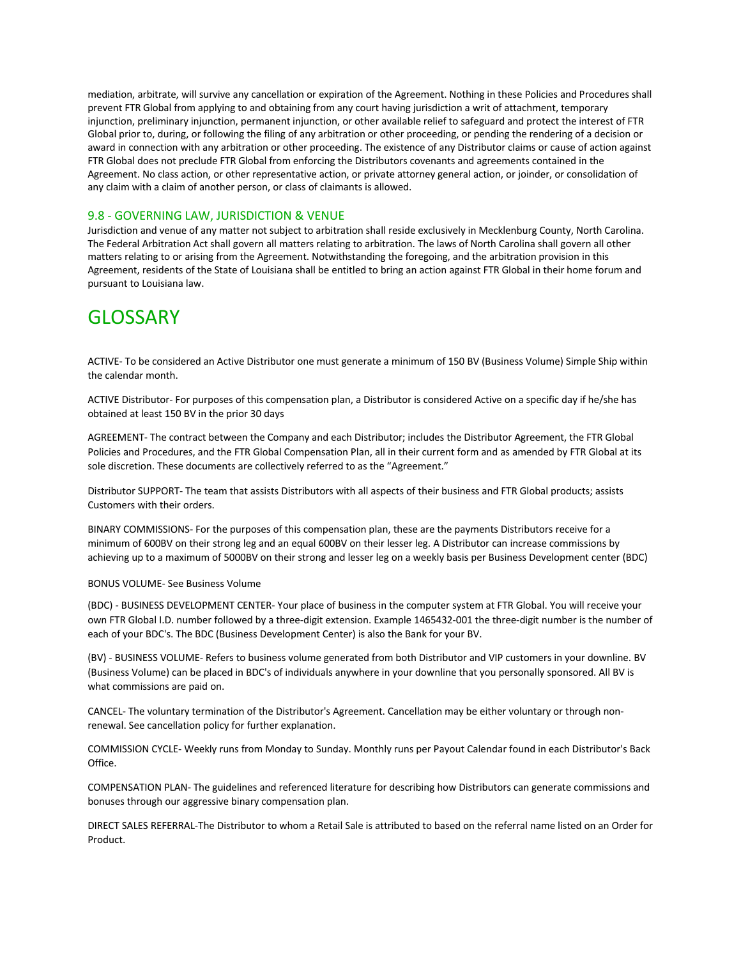mediation, arbitrate, will survive any cancellation or expiration of the Agreement. Nothing in these Policies and Procedures shall prevent FTR Global from applying to and obtaining from any court having jurisdiction a writ of attachment, temporary injunction, preliminary injunction, permanent injunction, or other available relief to safeguard and protect the interest of FTR Global prior to, during, or following the filing of any arbitration or other proceeding, or pending the rendering of a decision or award in connection with any arbitration or other proceeding. The existence of any Distributor claims or cause of action against FTR Global does not preclude FTR Global from enforcing the Distributors covenants and agreements contained in the Agreement. No class action, or other representative action, or private attorney general action, or joinder, or consolidation of any claim with a claim of another person, or class of claimants is allowed.

## 9.8 - GOVERNING LAW, JURISDICTION & VENUE

Jurisdiction and venue of any matter not subject to arbitration shall reside exclusively in Mecklenburg County, North Carolina. The Federal Arbitration Act shall govern all matters relating to arbitration. The laws of North Carolina shall govern all other matters relating to or arising from the Agreement. Notwithstanding the foregoing, and the arbitration provision in this Agreement, residents of the State of Louisiana shall be entitled to bring an action against FTR Global in their home forum and pursuant to Louisiana law.

## GLOSSARY

ACTIVE- To be considered an Active Distributor one must generate a minimum of 150 BV (Business Volume) Simple Ship within the calendar month.

ACTIVE Distributor- For purposes of this compensation plan, a Distributor is considered Active on a specific day if he/she has obtained at least 150 BV in the prior 30 days

AGREEMENT- The contract between the Company and each Distributor; includes the Distributor Agreement, the FTR Global Policies and Procedures, and the FTR Global Compensation Plan, all in their current form and as amended by FTR Global at its sole discretion. These documents are collectively referred to as the "Agreement."

Distributor SUPPORT- The team that assists Distributors with all aspects of their business and FTR Global products; assists Customers with their orders.

BINARY COMMISSIONS- For the purposes of this compensation plan, these are the payments Distributors receive for a minimum of 600BV on their strong leg and an equal 600BV on their lesser leg. A Distributor can increase commissions by achieving up to a maximum of 5000BV on their strong and lesser leg on a weekly basis per Business Development center (BDC)

#### BONUS VOLUME- See Business Volume

(BDC) - BUSINESS DEVELOPMENT CENTER- Your place of business in the computer system at FTR Global. You will receive your own FTR Global I.D. number followed by a three-digit extension. Example 1465432-001 the three-digit number is the number of each of your BDC's. The BDC (Business Development Center) is also the Bank for your BV.

(BV) - BUSINESS VOLUME- Refers to business volume generated from both Distributor and VIP customers in your downline. BV (Business Volume) can be placed in BDC's of individuals anywhere in your downline that you personally sponsored. All BV is what commissions are paid on.

CANCEL- The voluntary termination of the Distributor's Agreement. Cancellation may be either voluntary or through nonrenewal. See cancellation policy for further explanation.

COMMISSION CYCLE- Weekly runs from Monday to Sunday. Monthly runs per Payout Calendar found in each Distributor's Back Office.

COMPENSATION PLAN- The guidelines and referenced literature for describing how Distributors can generate commissions and bonuses through our aggressive binary compensation plan.

DIRECT SALES REFERRAL-The Distributor to whom a Retail Sale is attributed to based on the referral name listed on an Order for Product.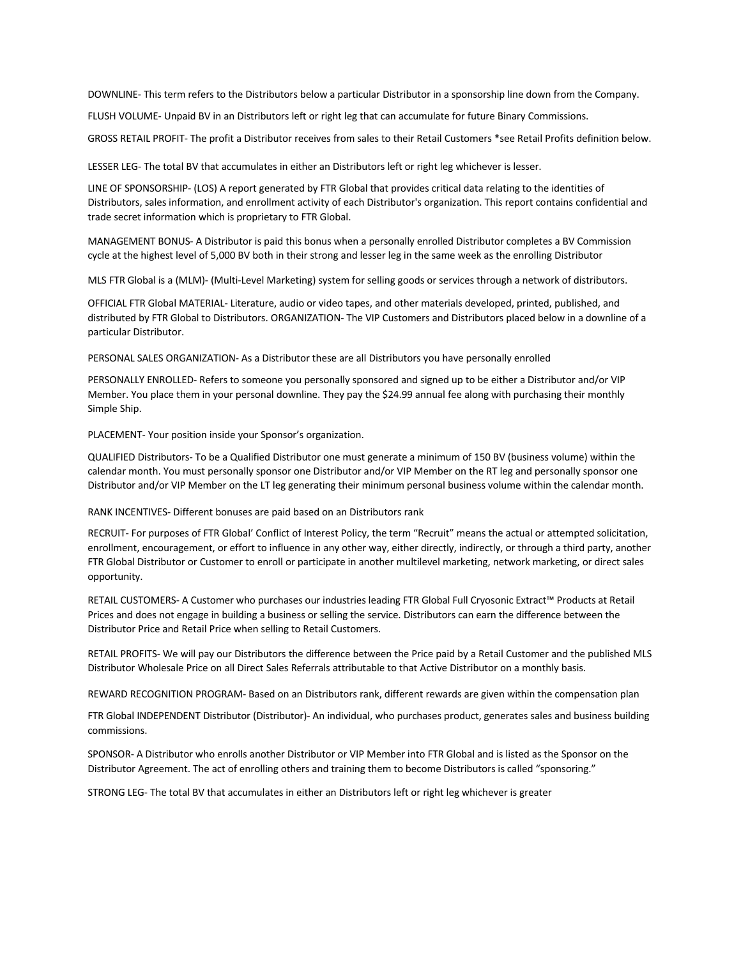DOWNLINE- This term refers to the Distributors below a particular Distributor in a sponsorship line down from the Company.

FLUSH VOLUME- Unpaid BV in an Distributors left or right leg that can accumulate for future Binary Commissions.

GROSS RETAIL PROFIT- The profit a Distributor receives from sales to their Retail Customers \*see Retail Profits definition below.

LESSER LEG- The total BV that accumulates in either an Distributors left or right leg whichever is lesser.

LINE OF SPONSORSHIP- (LOS) A report generated by FTR Global that provides critical data relating to the identities of Distributors, sales information, and enrollment activity of each Distributor's organization. This report contains confidential and trade secret information which is proprietary to FTR Global.

MANAGEMENT BONUS- A Distributor is paid this bonus when a personally enrolled Distributor completes a BV Commission cycle at the highest level of 5,000 BV both in their strong and lesser leg in the same week as the enrolling Distributor

MLS FTR Global is a (MLM)- (Multi-Level Marketing) system for selling goods or services through a network of distributors.

OFFICIAL FTR Global MATERIAL- Literature, audio or video tapes, and other materials developed, printed, published, and distributed by FTR Global to Distributors. ORGANIZATION- The VIP Customers and Distributors placed below in a downline of a particular Distributor.

PERSONAL SALES ORGANIZATION- As a Distributor these are all Distributors you have personally enrolled

PERSONALLY ENROLLED- Refers to someone you personally sponsored and signed up to be either a Distributor and/or VIP Member. You place them in your personal downline. They pay the \$24.99 annual fee along with purchasing their monthly Simple Ship.

PLACEMENT- Your position inside your Sponsor's organization.

QUALIFIED Distributors- To be a Qualified Distributor one must generate a minimum of 150 BV (business volume) within the calendar month. You must personally sponsor one Distributor and/or VIP Member on the RT leg and personally sponsor one Distributor and/or VIP Member on the LT leg generating their minimum personal business volume within the calendar month.

RANK INCENTIVES- Different bonuses are paid based on an Distributors rank

RECRUIT- For purposes of FTR Global' Conflict of Interest Policy, the term "Recruit" means the actual or attempted solicitation, enrollment, encouragement, or effort to influence in any other way, either directly, indirectly, or through a third party, another FTR Global Distributor or Customer to enroll or participate in another multilevel marketing, network marketing, or direct sales opportunity.

RETAIL CUSTOMERS- A Customer who purchases our industries leading FTR Global Full Cryosonic Extract™ Products at Retail Prices and does not engage in building a business or selling the service. Distributors can earn the difference between the Distributor Price and Retail Price when selling to Retail Customers.

RETAIL PROFITS- We will pay our Distributors the difference between the Price paid by a Retail Customer and the published MLS Distributor Wholesale Price on all Direct Sales Referrals attributable to that Active Distributor on a monthly basis.

REWARD RECOGNITION PROGRAM- Based on an Distributors rank, different rewards are given within the compensation plan

FTR Global INDEPENDENT Distributor (Distributor)- An individual, who purchases product, generates sales and business building commissions.

SPONSOR- A Distributor who enrolls another Distributor or VIP Member into FTR Global and is listed as the Sponsor on the Distributor Agreement. The act of enrolling others and training them to become Distributors is called "sponsoring."

STRONG LEG- The total BV that accumulates in either an Distributors left or right leg whichever is greater